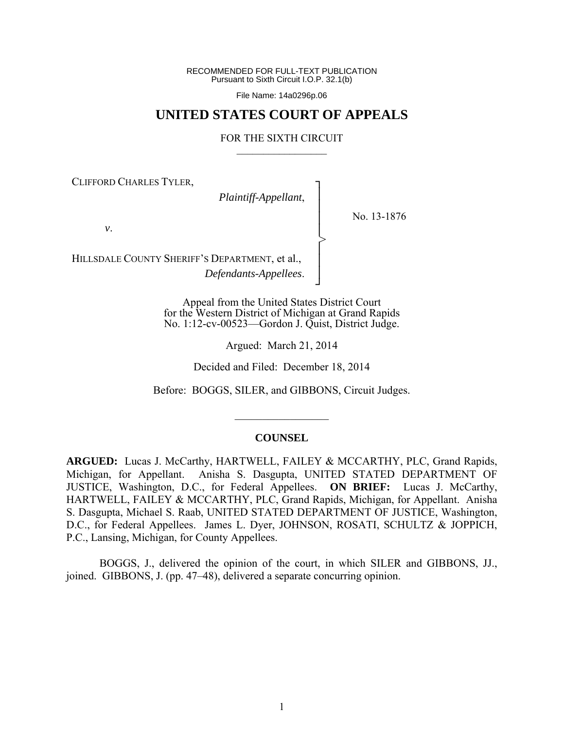RECOMMENDED FOR FULL-TEXT PUBLICATION Pursuant to Sixth Circuit I.O.P. 32.1(b)

File Name: 14a0296p.06

# **UNITED STATES COURT OF APPEALS**

#### FOR THE SIXTH CIRCUIT  $\mathcal{L}_\text{max}$

┐ │ │ │ │ │ │ │ ┘

>

CLIFFORD CHARLES TYLER,

*Plaintiff-Appellant*,

No. 13-1876

*v*.

HILLSDALE COUNTY SHERIFF'S DEPARTMENT, et al., *Defendants-Appellees*.

> Appeal from the United States District Court for the Western District of Michigan at Grand Rapids No. 1:12-cv-00523—Gordon J. Quist, District Judge.

> > Argued: March 21, 2014

Decided and Filed: December 18, 2014

Before: BOGGS, SILER, and GIBBONS, Circuit Judges.

#### **COUNSEL**

 $\frac{1}{2}$ 

**ARGUED:** Lucas J. McCarthy, HARTWELL, FAILEY & MCCARTHY, PLC, Grand Rapids, Michigan, for Appellant. Anisha S. Dasgupta, UNITED STATED DEPARTMENT OF JUSTICE, Washington, D.C., for Federal Appellees. **ON BRIEF:** Lucas J. McCarthy, HARTWELL, FAILEY & MCCARTHY, PLC, Grand Rapids, Michigan, for Appellant. Anisha S. Dasgupta, Michael S. Raab, UNITED STATED DEPARTMENT OF JUSTICE, Washington, D.C., for Federal Appellees. James L. Dyer, JOHNSON, ROSATI, SCHULTZ & JOPPICH, P.C., Lansing, Michigan, for County Appellees.

 BOGGS, J., delivered the opinion of the court, in which SILER and GIBBONS, JJ., joined. GIBBONS, J. (pp. 47–48), delivered a separate concurring opinion.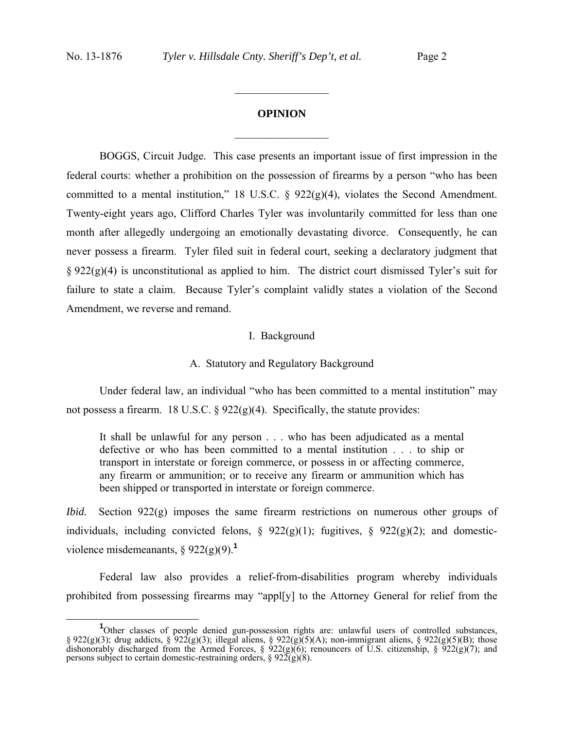# **OPINION**  $\frac{1}{2}$

 $\frac{1}{2}$ 

BOGGS, Circuit Judge. This case presents an important issue of first impression in the federal courts: whether a prohibition on the possession of firearms by a person "who has been committed to a mental institution," 18 U.S.C. § 922(g)(4), violates the Second Amendment. Twenty-eight years ago, Clifford Charles Tyler was involuntarily committed for less than one month after allegedly undergoing an emotionally devastating divorce. Consequently, he can never possess a firearm. Tyler filed suit in federal court, seeking a declaratory judgment that § 922(g)(4) is unconstitutional as applied to him. The district court dismissed Tyler's suit for failure to state a claim. Because Tyler's complaint validly states a violation of the Second Amendment, we reverse and remand.

#### I. Background

#### A. Statutory and Regulatory Background

Under federal law, an individual "who has been committed to a mental institution" may not possess a firearm. 18 U.S.C. § 922(g)(4). Specifically, the statute provides:

It shall be unlawful for any person . . . who has been adjudicated as a mental defective or who has been committed to a mental institution . . . to ship or transport in interstate or foreign commerce, or possess in or affecting commerce, any firearm or ammunition; or to receive any firearm or ammunition which has been shipped or transported in interstate or foreign commerce.

*Ibid.* Section 922(g) imposes the same firearm restrictions on numerous other groups of individuals, including convicted felons,  $\S$  922(g)(1); fugitives,  $\S$  922(g)(2); and domesticviolence misdemeanants, § 922(g)(9).**<sup>1</sup>**

 Federal law also provides a relief-from-disabilities program whereby individuals prohibited from possessing firearms may "appl[y] to the Attorney General for relief from the

**<sup>1</sup>** <sup>1</sup>Other classes of people denied gun-possession rights are: unlawful users of controlled substances, § 922(g)(3); drug addicts, § 922(g)(3); illegal aliens, § 922(g)(5)(A); non-immigrant aliens, § 922(g)(5)(B); those dishonorably discharged from the Armed Forces, §  $\frac{922(g)(6)}{2}$ ; renouncers of U.S. citizenship, §  $\frac{922(g)(7)}{2}$ ; and persons subject to certain domestic-restraining orders,  $\S 92\tilde{2}(g)(8)$ .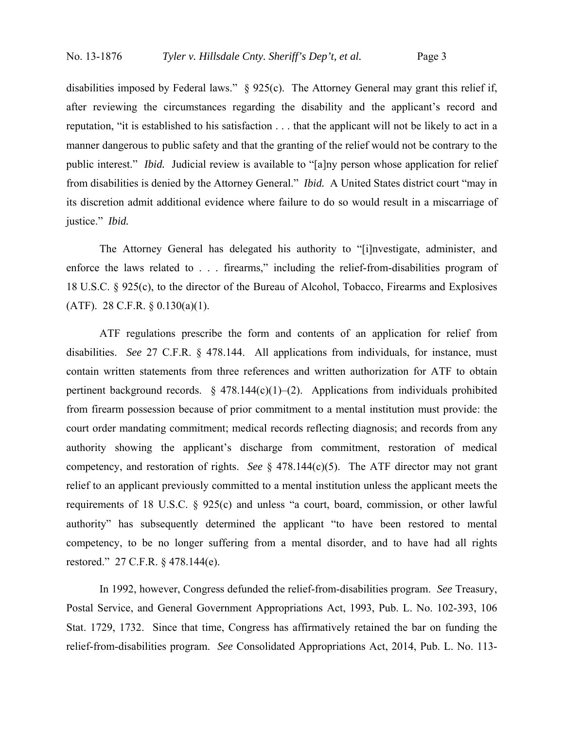disabilities imposed by Federal laws." § 925(c). The Attorney General may grant this relief if, after reviewing the circumstances regarding the disability and the applicant's record and reputation, "it is established to his satisfaction . . . that the applicant will not be likely to act in a manner dangerous to public safety and that the granting of the relief would not be contrary to the public interest." *Ibid.* Judicial review is available to "[a]ny person whose application for relief from disabilities is denied by the Attorney General." *Ibid.* A United States district court "may in its discretion admit additional evidence where failure to do so would result in a miscarriage of justice." *Ibid.*

 The Attorney General has delegated his authority to "[i]nvestigate, administer, and enforce the laws related to . . . firearms," including the relief-from-disabilities program of 18 U.S.C. § 925(c), to the director of the Bureau of Alcohol, Tobacco, Firearms and Explosives (ATF). 28 C.F.R. § 0.130(a)(1).

 ATF regulations prescribe the form and contents of an application for relief from disabilities. *See* 27 C.F.R. § 478.144. All applications from individuals, for instance, must contain written statements from three references and written authorization for ATF to obtain pertinent background records.  $\S$  478.144(c)(1)–(2). Applications from individuals prohibited from firearm possession because of prior commitment to a mental institution must provide: the court order mandating commitment; medical records reflecting diagnosis; and records from any authority showing the applicant's discharge from commitment, restoration of medical competency, and restoration of rights. *See* § 478.144(c)(5). The ATF director may not grant relief to an applicant previously committed to a mental institution unless the applicant meets the requirements of 18 U.S.C. § 925(c) and unless "a court, board, commission, or other lawful authority" has subsequently determined the applicant "to have been restored to mental competency, to be no longer suffering from a mental disorder, and to have had all rights restored." 27 C.F.R. § 478.144(e).

 In 1992, however, Congress defunded the relief-from-disabilities program. *See* Treasury, Postal Service, and General Government Appropriations Act, 1993, Pub. L. No. 102-393, 106 Stat. 1729, 1732. Since that time, Congress has affirmatively retained the bar on funding the relief-from-disabilities program. *See* Consolidated Appropriations Act, 2014, Pub. L. No. 113-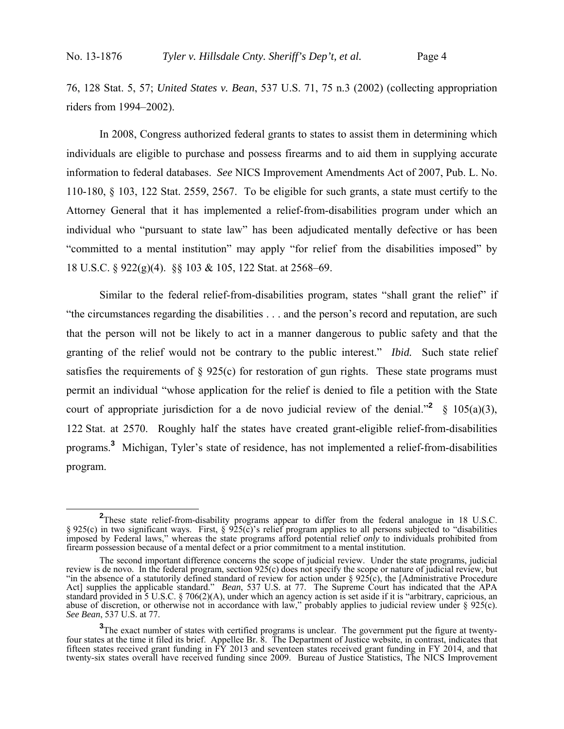76, 128 Stat. 5, 57; *United States v. Bean*, 537 U.S. 71, 75 n.3 (2002) (collecting appropriation riders from 1994–2002).

 In 2008, Congress authorized federal grants to states to assist them in determining which individuals are eligible to purchase and possess firearms and to aid them in supplying accurate information to federal databases. *See* NICS Improvement Amendments Act of 2007, Pub. L. No. 110-180, § 103, 122 Stat. 2559, 2567. To be eligible for such grants, a state must certify to the Attorney General that it has implemented a relief-from-disabilities program under which an individual who "pursuant to state law" has been adjudicated mentally defective or has been "committed to a mental institution" may apply "for relief from the disabilities imposed" by 18 U.S.C. § 922(g)(4). §§ 103 & 105, 122 Stat. at 2568–69.

Similar to the federal relief-from-disabilities program, states "shall grant the relief" if "the circumstances regarding the disabilities . . . and the person's record and reputation, are such that the person will not be likely to act in a manner dangerous to public safety and that the granting of the relief would not be contrary to the public interest." *Ibid.* Such state relief satisfies the requirements of  $\S 925(c)$  for restoration of gun rights. These state programs must permit an individual "whose application for the relief is denied to file a petition with the State court of appropriate jurisdiction for a de novo judicial review of the denial.<sup>"2</sup> § 105(a)(3), 122 Stat. at 2570. Roughly half the states have created grant-eligible relief-from-disabilities programs.**<sup>3</sup>** Michigan, Tyler's state of residence, has not implemented a relief-from-disabilities program.

**<sup>2</sup>**<br> **2** These state relief-from-disability programs appear to differ from the federal analogue in 18 U.S.C. § 925(c) in two significant ways. First, § 925(c)'s relief program applies to all persons subjected to "disabilities" imposed by Federal laws," whereas the state programs afford potential relief *only* to individuals prohibited from firearm possession because of a mental defect or a prior commitment to a mental institution.

The second important difference concerns the scope of judicial review. Under the state programs, judicial review is de novo. In the federal program, section 925(c) does not specify the scope or nature of judicial review, but "in the absence of a statutorily defined standard of review for action under § 925(c), the [Administrative Procedure Act] supplies the applicable standard." *Bean*, 537 U.S. at 77. The Supreme Court has indicated that the APA standard provided in 5 U.S.C. § 706(2)(A), under which an agency action is set aside if it is "arbitrary, capricious, an abuse of discretion, or otherwise not in accordance with law," probably applies to judicial review under § 925(c). *See Bean*, 537 U.S. at 77.

**<sup>3</sup>**The exact number of states with certified programs is unclear. The government put the figure at twentyfour states at the time it filed its brief. Appellee Br. 8. The Department of Justice website, in contrast, indicates that fifteen states received grant funding in  $\hat{F}Y$  2013 and seventeen states received grant funding in FY 2014, and that twenty-six states overall have received funding since 2009. Bureau of Justice Statistics, The NICS Improvement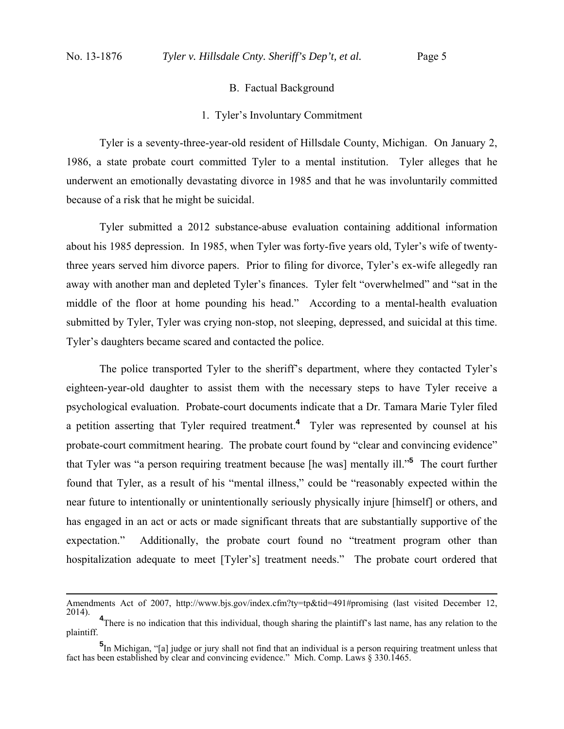### B. Factual Background

#### 1. Tyler's Involuntary Commitment

Tyler is a seventy-three-year-old resident of Hillsdale County, Michigan. On January 2, 1986, a state probate court committed Tyler to a mental institution. Tyler alleges that he underwent an emotionally devastating divorce in 1985 and that he was involuntarily committed because of a risk that he might be suicidal.

Tyler submitted a 2012 substance-abuse evaluation containing additional information about his 1985 depression. In 1985, when Tyler was forty-five years old, Tyler's wife of twentythree years served him divorce papers. Prior to filing for divorce, Tyler's ex-wife allegedly ran away with another man and depleted Tyler's finances. Tyler felt "overwhelmed" and "sat in the middle of the floor at home pounding his head." According to a mental-health evaluation submitted by Tyler, Tyler was crying non-stop, not sleeping, depressed, and suicidal at this time. Tyler's daughters became scared and contacted the police.

The police transported Tyler to the sheriff's department, where they contacted Tyler's eighteen-year-old daughter to assist them with the necessary steps to have Tyler receive a psychological evaluation. Probate-court documents indicate that a Dr. Tamara Marie Tyler filed a petition asserting that Tyler required treatment.**<sup>4</sup>** Tyler was represented by counsel at his probate-court commitment hearing. The probate court found by "clear and convincing evidence" that Tyler was "a person requiring treatment because [he was] mentally ill."**<sup>5</sup>** The court further found that Tyler, as a result of his "mental illness," could be "reasonably expected within the near future to intentionally or unintentionally seriously physically injure [himself] or others, and has engaged in an act or acts or made significant threats that are substantially supportive of the expectation." Additionally, the probate court found no "treatment program other than hospitalization adequate to meet [Tyler's] treatment needs." The probate court ordered that

Amendments Act of 2007, http://www.bjs.gov/index.cfm?ty=tp&tid=491#promising (last visited December 12, 2014). **<sup>4</sup>**

<sup>&</sup>lt;sup>4</sup>There is no indication that this individual, though sharing the plaintiff's last name, has any relation to the plaintiff.

**<sup>5</sup>** In Michigan, "[a] judge or jury shall not find that an individual is a person requiring treatment unless that fact has been established by clear and convincing evidence." Mich. Comp. Laws § 330.1465.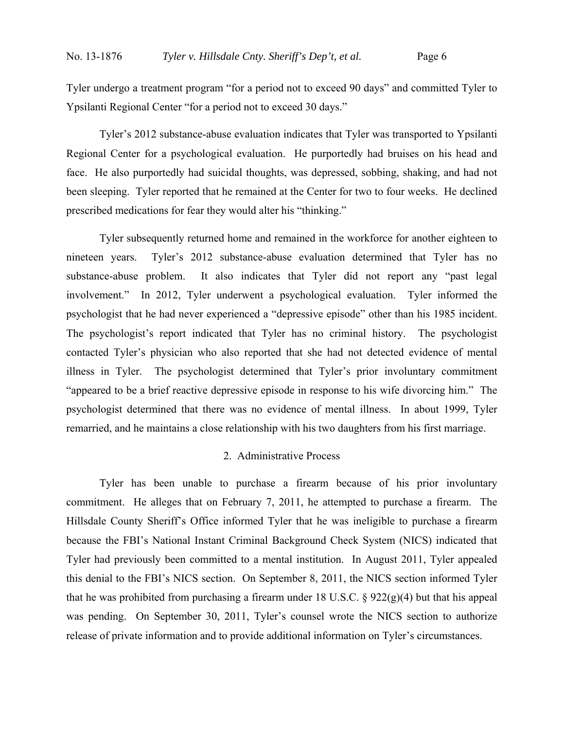Tyler undergo a treatment program "for a period not to exceed 90 days" and committed Tyler to Ypsilanti Regional Center "for a period not to exceed 30 days."

Tyler's 2012 substance-abuse evaluation indicates that Tyler was transported to Ypsilanti Regional Center for a psychological evaluation. He purportedly had bruises on his head and face. He also purportedly had suicidal thoughts, was depressed, sobbing, shaking, and had not been sleeping. Tyler reported that he remained at the Center for two to four weeks. He declined prescribed medications for fear they would alter his "thinking."

Tyler subsequently returned home and remained in the workforce for another eighteen to nineteen years. Tyler's 2012 substance-abuse evaluation determined that Tyler has no substance-abuse problem. It also indicates that Tyler did not report any "past legal involvement." In 2012, Tyler underwent a psychological evaluation. Tyler informed the psychologist that he had never experienced a "depressive episode" other than his 1985 incident. The psychologist's report indicated that Tyler has no criminal history. The psychologist contacted Tyler's physician who also reported that she had not detected evidence of mental illness in Tyler. The psychologist determined that Tyler's prior involuntary commitment "appeared to be a brief reactive depressive episode in response to his wife divorcing him." The psychologist determined that there was no evidence of mental illness. In about 1999, Tyler remarried, and he maintains a close relationship with his two daughters from his first marriage.

# 2. Administrative Process

Tyler has been unable to purchase a firearm because of his prior involuntary commitment. He alleges that on February 7, 2011, he attempted to purchase a firearm. The Hillsdale County Sheriff's Office informed Tyler that he was ineligible to purchase a firearm because the FBI's National Instant Criminal Background Check System (NICS) indicated that Tyler had previously been committed to a mental institution. In August 2011, Tyler appealed this denial to the FBI's NICS section. On September 8, 2011, the NICS section informed Tyler that he was prohibited from purchasing a firearm under 18 U.S.C.  $\S 922(g)(4)$  but that his appeal was pending. On September 30, 2011, Tyler's counsel wrote the NICS section to authorize release of private information and to provide additional information on Tyler's circumstances.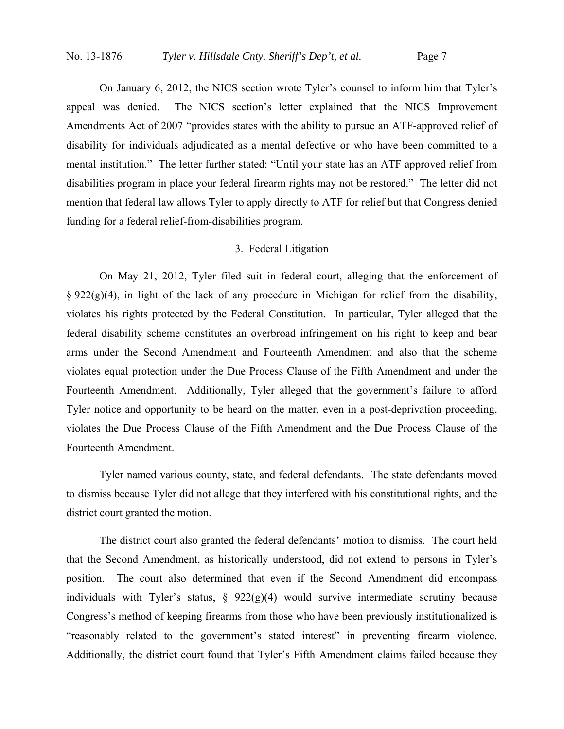On January 6, 2012, the NICS section wrote Tyler's counsel to inform him that Tyler's appeal was denied. The NICS section's letter explained that the NICS Improvement Amendments Act of 2007 "provides states with the ability to pursue an ATF-approved relief of disability for individuals adjudicated as a mental defective or who have been committed to a mental institution." The letter further stated: "Until your state has an ATF approved relief from disabilities program in place your federal firearm rights may not be restored." The letter did not mention that federal law allows Tyler to apply directly to ATF for relief but that Congress denied funding for a federal relief-from-disabilities program.

#### 3. Federal Litigation

On May 21, 2012, Tyler filed suit in federal court, alleging that the enforcement of  $\S 922(g)(4)$ , in light of the lack of any procedure in Michigan for relief from the disability, violates his rights protected by the Federal Constitution. In particular, Tyler alleged that the federal disability scheme constitutes an overbroad infringement on his right to keep and bear arms under the Second Amendment and Fourteenth Amendment and also that the scheme violates equal protection under the Due Process Clause of the Fifth Amendment and under the Fourteenth Amendment. Additionally, Tyler alleged that the government's failure to afford Tyler notice and opportunity to be heard on the matter, even in a post-deprivation proceeding, violates the Due Process Clause of the Fifth Amendment and the Due Process Clause of the Fourteenth Amendment.

Tyler named various county, state, and federal defendants. The state defendants moved to dismiss because Tyler did not allege that they interfered with his constitutional rights, and the district court granted the motion.

 The district court also granted the federal defendants' motion to dismiss. The court held that the Second Amendment, as historically understood, did not extend to persons in Tyler's position. The court also determined that even if the Second Amendment did encompass individuals with Tyler's status,  $\S$  922(g)(4) would survive intermediate scrutiny because Congress's method of keeping firearms from those who have been previously institutionalized is "reasonably related to the government's stated interest" in preventing firearm violence. Additionally, the district court found that Tyler's Fifth Amendment claims failed because they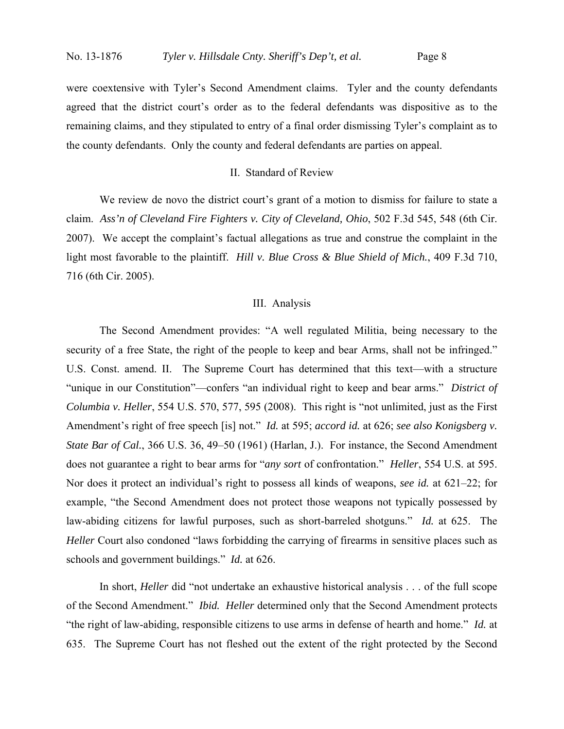were coextensive with Tyler's Second Amendment claims. Tyler and the county defendants agreed that the district court's order as to the federal defendants was dispositive as to the remaining claims, and they stipulated to entry of a final order dismissing Tyler's complaint as to the county defendants. Only the county and federal defendants are parties on appeal.

# II. Standard of Review

We review de novo the district court's grant of a motion to dismiss for failure to state a claim. *Ass'n of Cleveland Fire Fighters v. City of Cleveland, Ohio*, 502 F.3d 545, 548 (6th Cir. 2007). We accept the complaint's factual allegations as true and construe the complaint in the light most favorable to the plaintiff. *Hill v. Blue Cross & Blue Shield of Mich.*, 409 F.3d 710, 716 (6th Cir. 2005).

#### III. Analysis

 The Second Amendment provides: "A well regulated Militia, being necessary to the security of a free State, the right of the people to keep and bear Arms, shall not be infringed." U.S. Const. amend. II. The Supreme Court has determined that this text—with a structure "unique in our Constitution"—confers "an individual right to keep and bear arms." *District of Columbia v. Heller*, 554 U.S. 570, 577, 595 (2008). This right is "not unlimited, just as the First Amendment's right of free speech [is] not." *Id.* at 595; *accord id.* at 626; *see also Konigsberg v. State Bar of Cal.*, 366 U.S. 36, 49–50 (1961) (Harlan, J.). For instance, the Second Amendment does not guarantee a right to bear arms for "*any sort* of confrontation." *Heller*, 554 U.S. at 595. Nor does it protect an individual's right to possess all kinds of weapons, *see id.* at 621–22; for example, "the Second Amendment does not protect those weapons not typically possessed by law-abiding citizens for lawful purposes, such as short-barreled shotguns." *Id.* at 625. The *Heller* Court also condoned "laws forbidding the carrying of firearms in sensitive places such as schools and government buildings." *Id.* at 626.

 In short, *Heller* did "not undertake an exhaustive historical analysis . . . of the full scope of the Second Amendment." *Ibid. Heller* determined only that the Second Amendment protects "the right of law-abiding, responsible citizens to use arms in defense of hearth and home." *Id.* at 635. The Supreme Court has not fleshed out the extent of the right protected by the Second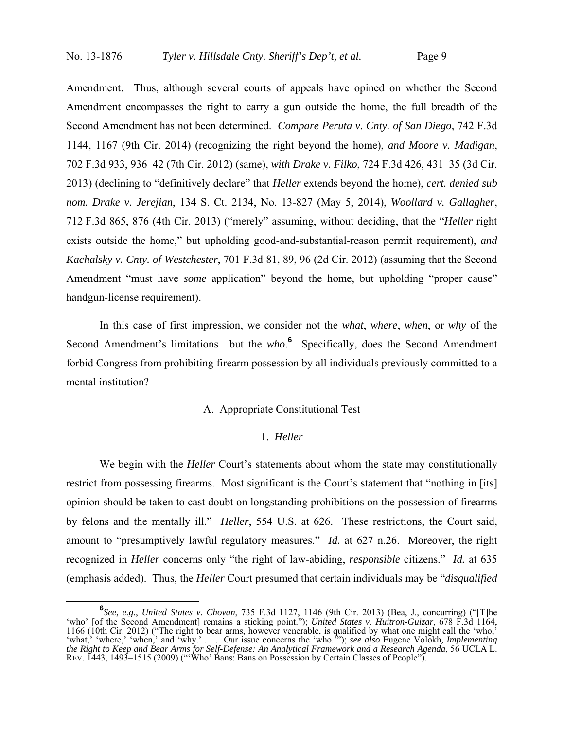Amendment. Thus, although several courts of appeals have opined on whether the Second Amendment encompasses the right to carry a gun outside the home, the full breadth of the Second Amendment has not been determined. *Compare Peruta v. Cnty. of San Diego*, 742 F.3d 1144, 1167 (9th Cir. 2014) (recognizing the right beyond the home), *and Moore v. Madigan*, 702 F.3d 933, 936–42 (7th Cir. 2012) (same), *with Drake v. Filko*, 724 F.3d 426, 431–35 (3d Cir. 2013) (declining to "definitively declare" that *Heller* extends beyond the home), *cert. denied sub nom. Drake v. Jerejian*, 134 S. Ct. 2134, No. 13-827 (May 5, 2014), *Woollard v. Gallagher*, 712 F.3d 865, 876 (4th Cir. 2013) ("merely" assuming, without deciding, that the "*Heller* right exists outside the home," but upholding good-and-substantial-reason permit requirement), *and Kachalsky v. Cnty. of Westchester*, 701 F.3d 81, 89, 96 (2d Cir. 2012) (assuming that the Second Amendment "must have *some* application" beyond the home, but upholding "proper cause" handgun-license requirement).

 In this case of first impression, we consider not the *what*, *where*, *when*, or *why* of the Second Amendment's limitations—but the *who*.<sup>6</sup> Specifically, does the Second Amendment forbid Congress from prohibiting firearm possession by all individuals previously committed to a mental institution?

### A. Appropriate Constitutional Test

#### 1. *Heller*

 We begin with the *Heller* Court's statements about whom the state may constitutionally restrict from possessing firearms. Most significant is the Court's statement that "nothing in [its] opinion should be taken to cast doubt on longstanding prohibitions on the possession of firearms by felons and the mentally ill." *Heller*, 554 U.S. at 626. These restrictions, the Court said, amount to "presumptively lawful regulatory measures." *Id.* at 627 n.26. Moreover, the right recognized in *Heller* concerns only "the right of law-abiding, *responsible* citizens." *Id.* at 635 (emphasis added). Thus, the *Heller* Court presumed that certain individuals may be "*disqualified*

**<sup>6</sup>** *See, e.g.*, *United States v. Chovan*, 735 F.3d 1127, 1146 (9th Cir. 2013) (Bea, J., concurring) ("[T]he 'who' [of the Second Amendment] remains a sticking point."); *United States v. Huitron-Guizar*, 678 F.3d 1164, 1166 (10th Cir. 2012) ("The right to bear arms, however venerable, is qualified by what one might call the 'who,' 'what,' 'where,' 'when,' and 'why.' . . . Our issue concerns the 'who.'"); *see also* Eugene Volokh*, Implementing the Right to Keep and Bear Arms for Self-Defense: An Analytical Framework and a Research Agenda*, 56 UCLA L. REV. 1443, 1493–1515 (2009) ("'Who' Bans: Bans on Possession by Certain Classes of People").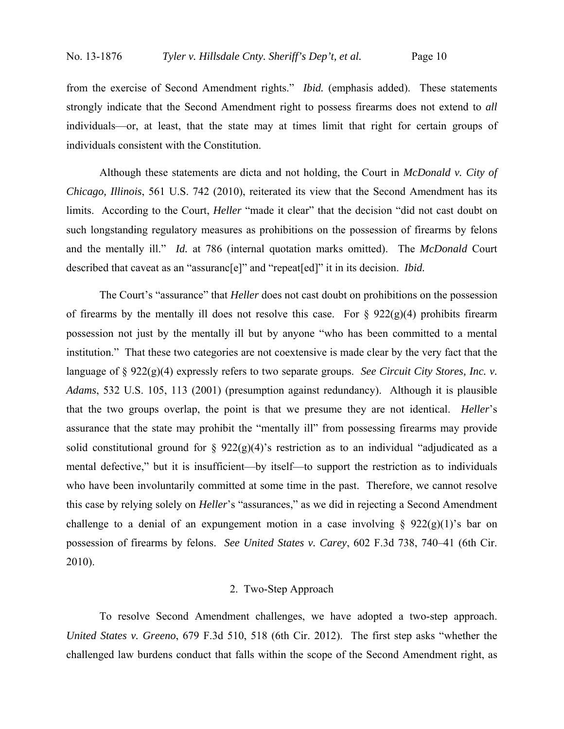from the exercise of Second Amendment rights." *Ibid.* (emphasis added). These statements strongly indicate that the Second Amendment right to possess firearms does not extend to *all* individuals—or, at least, that the state may at times limit that right for certain groups of individuals consistent with the Constitution.

 Although these statements are dicta and not holding, the Court in *McDonald v. City of Chicago, Illinois*, 561 U.S. 742 (2010), reiterated its view that the Second Amendment has its limits. According to the Court, *Heller* "made it clear" that the decision "did not cast doubt on such longstanding regulatory measures as prohibitions on the possession of firearms by felons and the mentally ill." *Id.* at 786 (internal quotation marks omitted). The *McDonald* Court described that caveat as an "assuranc[e]" and "repeat[ed]" it in its decision. *Ibid.*

 The Court's "assurance" that *Heller* does not cast doubt on prohibitions on the possession of firearms by the mentally ill does not resolve this case. For  $\S 922(g)(4)$  prohibits firearm possession not just by the mentally ill but by anyone "who has been committed to a mental institution." That these two categories are not coextensive is made clear by the very fact that the language of § 922(g)(4) expressly refers to two separate groups. *See Circuit City Stores, Inc. v. Adams*, 532 U.S. 105, 113 (2001) (presumption against redundancy). Although it is plausible that the two groups overlap, the point is that we presume they are not identical. *Heller*'s assurance that the state may prohibit the "mentally ill" from possessing firearms may provide solid constitutional ground for §  $922(g)(4)$ 's restriction as to an individual "adjudicated as a mental defective," but it is insufficient—by itself—to support the restriction as to individuals who have been involuntarily committed at some time in the past. Therefore, we cannot resolve this case by relying solely on *Heller*'s "assurances," as we did in rejecting a Second Amendment challenge to a denial of an expungement motion in a case involving  $\S$  922(g)(1)'s bar on possession of firearms by felons. *See United States v. Carey*, 602 F.3d 738, 740–41 (6th Cir. 2010).

# 2. Two-Step Approach

To resolve Second Amendment challenges, we have adopted a two-step approach. *United States v. Greeno*, 679 F.3d 510, 518 (6th Cir. 2012). The first step asks "whether the challenged law burdens conduct that falls within the scope of the Second Amendment right, as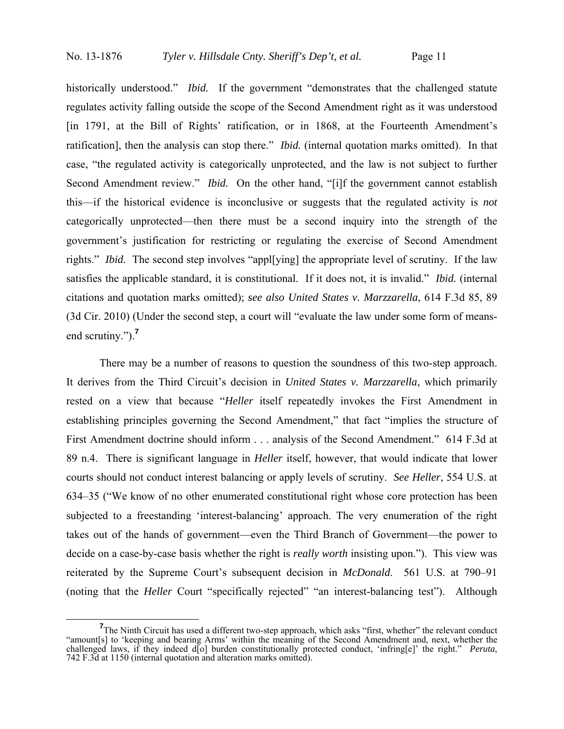historically understood." *Ibid.* If the government "demonstrates that the challenged statute regulates activity falling outside the scope of the Second Amendment right as it was understood [in 1791, at the Bill of Rights' ratification, or in 1868, at the Fourteenth Amendment's ratification], then the analysis can stop there." *Ibid.* (internal quotation marks omitted). In that case, "the regulated activity is categorically unprotected, and the law is not subject to further Second Amendment review." *Ibid.* On the other hand, "[i]f the government cannot establish this—if the historical evidence is inconclusive or suggests that the regulated activity is *not* categorically unprotected—then there must be a second inquiry into the strength of the government's justification for restricting or regulating the exercise of Second Amendment rights." *Ibid.* The second step involves "apple vingly the appropriate level of scrutiny. If the law satisfies the applicable standard, it is constitutional. If it does not, it is invalid." *Ibid.* (internal citations and quotation marks omitted); *see also United States v. Marzzarella*, 614 F.3d 85, 89 (3d Cir. 2010) (Under the second step, a court will "evaluate the law under some form of meansend scrutiny.").**<sup>7</sup>**

There may be a number of reasons to question the soundness of this two-step approach. It derives from the Third Circuit's decision in *United States v. Marzzarella*, which primarily rested on a view that because "*Heller* itself repeatedly invokes the First Amendment in establishing principles governing the Second Amendment," that fact "implies the structure of First Amendment doctrine should inform . . . analysis of the Second Amendment." 614 F.3d at 89 n.4. There is significant language in *Heller* itself, however, that would indicate that lower courts should not conduct interest balancing or apply levels of scrutiny. *See Heller*, 554 U.S. at 634–35 ("We know of no other enumerated constitutional right whose core protection has been subjected to a freestanding 'interest-balancing' approach. The very enumeration of the right takes out of the hands of government—even the Third Branch of Government—the power to decide on a case-by-case basis whether the right is *really worth* insisting upon."). This view was reiterated by the Supreme Court's subsequent decision in *McDonald*. 561 U.S. at 790–91 (noting that the *Heller* Court "specifically rejected" "an interest-balancing test"). Although

<sup>&</sup>lt;sup>7</sup>The Ninth Circuit has used a different two-step approach, which asks "first, whether" the relevant conduct "amount[s] to 'keeping and bearing Arms' within the meaning of the Second Amendment and, next, whether the challenged laws, if they indeed d[o] burden constitutionally protected conduct, 'infring[e]' the right." *Peruta*, 742 F.3d at 1150 (internal quotation and alteration marks omitted).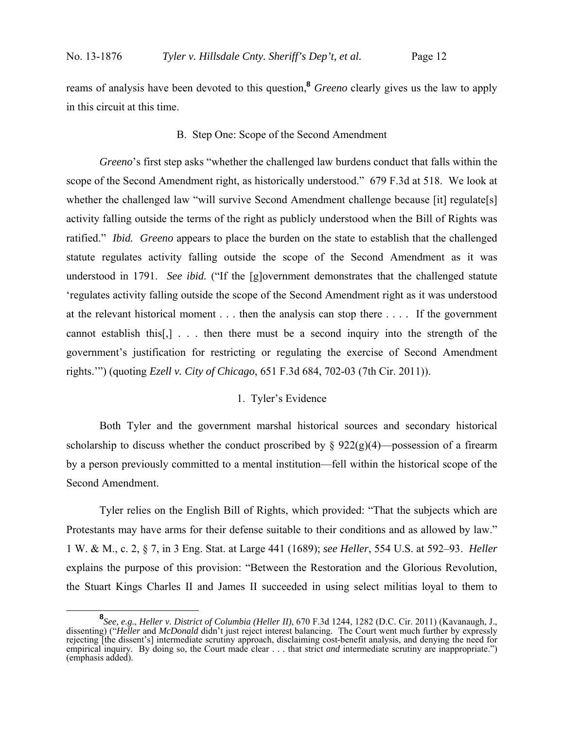reams of analysis have been devoted to this question,**<sup>8</sup>** *Greeno* clearly gives us the law to apply in this circuit at this time.

#### B. Step One: Scope of the Second Amendment

*Greeno*'s first step asks "whether the challenged law burdens conduct that falls within the scope of the Second Amendment right, as historically understood." 679 F.3d at 518. We look at whether the challenged law "will survive Second Amendment challenge because [it] regulate[s] activity falling outside the terms of the right as publicly understood when the Bill of Rights was ratified." *Ibid. Greeno* appears to place the burden on the state to establish that the challenged statute regulates activity falling outside the scope of the Second Amendment as it was understood in 1791. *See ibid.* ("If the [g]overnment demonstrates that the challenged statute 'regulates activity falling outside the scope of the Second Amendment right as it was understood at the relevant historical moment . . . then the analysis can stop there . . . . If the government cannot establish this[,] . . . then there must be a second inquiry into the strength of the government's justification for restricting or regulating the exercise of Second Amendment rights.'") (quoting *Ezell v. City of Chicago*, 651 F.3d 684, 702-03 (7th Cir. 2011)).

### 1. Tyler's Evidence

Both Tyler and the government marshal historical sources and secondary historical scholarship to discuss whether the conduct proscribed by  $\S 922(g)(4)$ —possession of a firearm by a person previously committed to a mental institution—fell within the historical scope of the Second Amendment.

 Tyler relies on the English Bill of Rights, which provided: "That the subjects which are Protestants may have arms for their defense suitable to their conditions and as allowed by law." 1 W. & M., c. 2, § 7, in 3 Eng. Stat. at Large 441 (1689); *see Heller*, 554 U.S. at 592–93. *Heller* explains the purpose of this provision: "Between the Restoration and the Glorious Revolution, the Stuart Kings Charles II and James II succeeded in using select militias loyal to them to

**<sup>8</sup>** *See, e.g.*, *Heller v. District of Columbia (Heller II)*, 670 F.3d 1244, 1282 (D.C. Cir. 2011) (Kavanaugh, J., dissenting) ("*Heller* and *McDonald* didn't just reject interest balancing. The Court went much further by expressly rejecting [the dissent's] intermediate scrutiny approach, disclaiming cost-benefit analysis, and denying the need for empirical inquiry. By doing so, the Court made clear . . . that strict *and* intermediate scrutiny are inappropriate.") (emphasis added).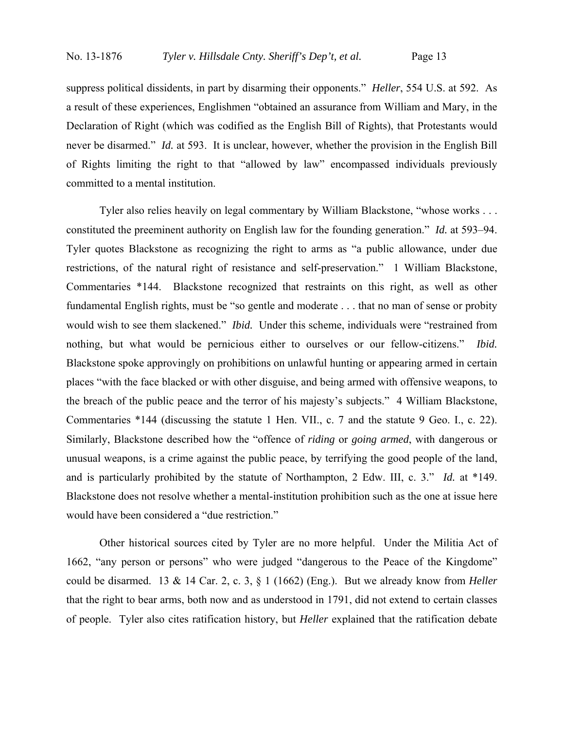suppress political dissidents, in part by disarming their opponents." *Heller*, 554 U.S. at 592. As a result of these experiences, Englishmen "obtained an assurance from William and Mary, in the Declaration of Right (which was codified as the English Bill of Rights), that Protestants would never be disarmed." *Id.* at 593. It is unclear, however, whether the provision in the English Bill of Rights limiting the right to that "allowed by law" encompassed individuals previously committed to a mental institution.

 Tyler also relies heavily on legal commentary by William Blackstone, "whose works . . . constituted the preeminent authority on English law for the founding generation." *Id.* at 593–94. Tyler quotes Blackstone as recognizing the right to arms as "a public allowance, under due restrictions, of the natural right of resistance and self-preservation." 1 William Blackstone, Commentaries \*144. Blackstone recognized that restraints on this right, as well as other fundamental English rights, must be "so gentle and moderate . . . that no man of sense or probity would wish to see them slackened." *Ibid.* Under this scheme, individuals were "restrained from nothing, but what would be pernicious either to ourselves or our fellow-citizens." *Ibid.* Blackstone spoke approvingly on prohibitions on unlawful hunting or appearing armed in certain places "with the face blacked or with other disguise, and being armed with offensive weapons, to the breach of the public peace and the terror of his majesty's subjects." 4 William Blackstone, Commentaries \*144 (discussing the statute 1 Hen. VII., c. 7 and the statute 9 Geo. I., c. 22). Similarly, Blackstone described how the "offence of *riding* or *going armed*, with dangerous or unusual weapons, is a crime against the public peace, by terrifying the good people of the land, and is particularly prohibited by the statute of Northampton, 2 Edw. III, c. 3." *Id.* at \*149. Blackstone does not resolve whether a mental-institution prohibition such as the one at issue here would have been considered a "due restriction."

 Other historical sources cited by Tyler are no more helpful. Under the Militia Act of 1662, "any person or persons" who were judged "dangerous to the Peace of the Kingdome" could be disarmed. 13 & 14 Car. 2, c. 3, § 1 (1662) (Eng.). But we already know from *Heller* that the right to bear arms, both now and as understood in 1791, did not extend to certain classes of people. Tyler also cites ratification history, but *Heller* explained that the ratification debate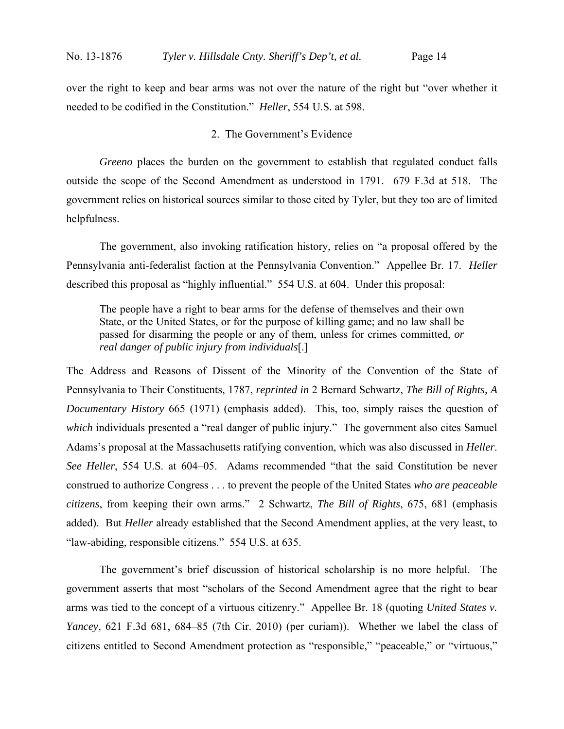over the right to keep and bear arms was not over the nature of the right but "over whether it needed to be codified in the Constitution." *Heller*, 554 U.S. at 598.

#### 2. The Government's Evidence

*Greeno* places the burden on the government to establish that regulated conduct falls outside the scope of the Second Amendment as understood in 1791. 679 F.3d at 518. The government relies on historical sources similar to those cited by Tyler, but they too are of limited helpfulness.

 The government, also invoking ratification history, relies on "a proposal offered by the Pennsylvania anti-federalist faction at the Pennsylvania Convention." Appellee Br. 17. *Heller* described this proposal as "highly influential." 554 U.S. at 604. Under this proposal:

The people have a right to bear arms for the defense of themselves and their own State, or the United States, or for the purpose of killing game; and no law shall be passed for disarming the people or any of them, unless for crimes committed, *or real danger of public injury from individuals*[.]

The Address and Reasons of Dissent of the Minority of the Convention of the State of Pennsylvania to Their Constituents, 1787, *reprinted in* 2 Bernard Schwartz, *The Bill of Rights, A Documentary History* 665 (1971) (emphasis added). This, too, simply raises the question of *which* individuals presented a "real danger of public injury." The government also cites Samuel Adams's proposal at the Massachusetts ratifying convention, which was also discussed in *Heller*. *See Heller*, 554 U.S. at 604–05. Adams recommended "that the said Constitution be never construed to authorize Congress . . . to prevent the people of the United States *who are peaceable citizens*, from keeping their own arms." 2 Schwartz, *The Bill of Rights*, 675, 681 (emphasis added). But *Heller* already established that the Second Amendment applies, at the very least, to "law-abiding, responsible citizens." 554 U.S. at 635.

 The government's brief discussion of historical scholarship is no more helpful. The government asserts that most "scholars of the Second Amendment agree that the right to bear arms was tied to the concept of a virtuous citizenry." Appellee Br. 18 (quoting *United States v. Yancey*, 621 F.3d 681, 684–85 (7th Cir. 2010) (per curiam)). Whether we label the class of citizens entitled to Second Amendment protection as "responsible," "peaceable," or "virtuous,"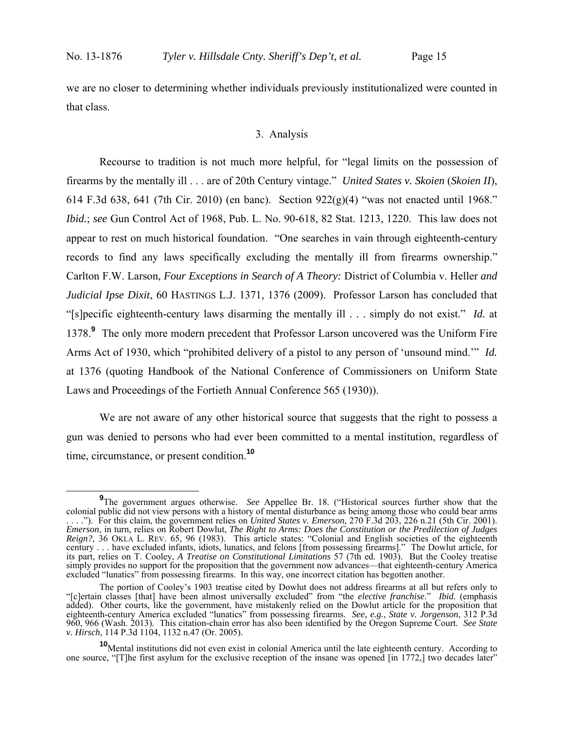we are no closer to determining whether individuals previously institutionalized were counted in that class.

#### 3. Analysis

Recourse to tradition is not much more helpful, for "legal limits on the possession of firearms by the mentally ill . . . are of 20th Century vintage." *United States v. Skoien* (*Skoien II*), 614 F.3d 638, 641 (7th Cir. 2010) (en banc). Section  $922(g)(4)$  "was not enacted until 1968." *Ibid.*; *see* Gun Control Act of 1968, Pub. L. No. 90-618, 82 Stat. 1213, 1220. This law does not appear to rest on much historical foundation. "One searches in vain through eighteenth-century records to find any laws specifically excluding the mentally ill from firearms ownership." Carlton F.W. Larson, *Four Exceptions in Search of A Theory:* District of Columbia v. Heller *and Judicial Ipse Dixit*, 60 HASTINGS L.J. 1371, 1376 (2009). Professor Larson has concluded that "[s]pecific eighteenth-century laws disarming the mentally ill . . . simply do not exist." *Id.* at 1378.**<sup>9</sup>** The only more modern precedent that Professor Larson uncovered was the Uniform Fire Arms Act of 1930, which "prohibited delivery of a pistol to any person of 'unsound mind.'" *Id.* at 1376 (quoting Handbook of the National Conference of Commissioners on Uniform State Laws and Proceedings of the Fortieth Annual Conference 565 (1930)).

We are not aware of any other historical source that suggests that the right to possess a gun was denied to persons who had ever been committed to a mental institution, regardless of time, circumstance, or present condition.**<sup>10</sup>**

**<sup>9</sup>** <sup>9</sup>The government argues otherwise. *See* Appellee Br. 18. ("Historical sources further show that the colonial public did not view persons with a history of mental disturbance as being among those who could bear arms . . . ."). For this claim, the government relies on *United States v. Emerson*, 270 F.3d 203, 226 n.21 (5th Cir. 2001). *Emerson*, in turn, relies on Robert Dowlut, *The Right to Arms: Does the Constitution or the Predilection of Judges Reign?*, 36 OKLA L. REV. 65, 96 (1983). This article states: "Colonial and English societies of the eighteenth century . . . have excluded infants, idiots, lunatics, and felons [from possessing firearms]." The Dowlut article, for its part, relies on T. Cooley, *A Treatise on Constitutional Limitations* 57 (7th ed. 1903). But the Cooley treatise simply provides no support for the proposition that the government now advances—that eighteenth-century America excluded "lunatics" from possessing firearms. In this way, one incorrect citation has begotten another.

The portion of Cooley's 1903 treatise cited by Dowlut does not address firearms at all but refers only to "[c]ertain classes [that] have been almost universally excluded" from "the *elective franchise*." *Ibid.* (emphasis added). Other courts, like the government, have mistakenly relied on the Dowlut article for the proposition that eighteenth-century America excluded "lunatics" from possessing firearms. *See, e.g.*, *State v. Jorgenson*, 312 P.3d 960, 966 (Wash. 2013). This citation-chain error has also been identified by the Oregon Supreme Court. *See State v. Hirsch*, 114 P.3d 1104, 1132 n.47 (Or. 2005).

**<sup>10</sup>**Mental institutions did not even exist in colonial America until the late eighteenth century. According to one source, "[T]he first asylum for the exclusive reception of the insane was opened [in 1772,] two decades later"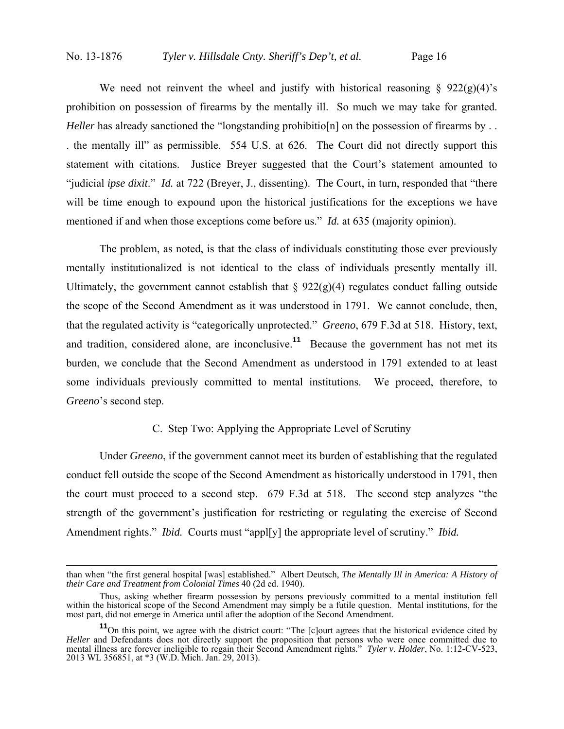We need not reinvent the wheel and justify with historical reasoning  $\S$  922(g)(4)'s prohibition on possession of firearms by the mentally ill. So much we may take for granted. *Heller* has already sanctioned the "longstanding prohibitio[n] on the possession of firearms by . . . the mentally ill" as permissible. 554 U.S. at 626. The Court did not directly support this statement with citations. Justice Breyer suggested that the Court's statement amounted to "judicial *ipse dixit*." *Id.* at 722 (Breyer, J., dissenting). The Court, in turn, responded that "there will be time enough to expound upon the historical justifications for the exceptions we have mentioned if and when those exceptions come before us." *Id.* at 635 (majority opinion).

 The problem, as noted, is that the class of individuals constituting those ever previously mentally institutionalized is not identical to the class of individuals presently mentally ill. Ultimately, the government cannot establish that  $\S 922(g)(4)$  regulates conduct falling outside the scope of the Second Amendment as it was understood in 1791. We cannot conclude, then, that the regulated activity is "categorically unprotected." *Greeno*, 679 F.3d at 518. History, text, and tradition, considered alone, are inconclusive.**<sup>11</sup>** Because the government has not met its burden, we conclude that the Second Amendment as understood in 1791 extended to at least some individuals previously committed to mental institutions. We proceed, therefore, to *Greeno*'s second step.

## C. Step Two: Applying the Appropriate Level of Scrutiny

Under *Greeno*, if the government cannot meet its burden of establishing that the regulated conduct fell outside the scope of the Second Amendment as historically understood in 1791, then the court must proceed to a second step. 679 F.3d at 518. The second step analyzes "the strength of the government's justification for restricting or regulating the exercise of Second Amendment rights." *Ibid.* Courts must "appl[y] the appropriate level of scrutiny." *Ibid.*

than when "the first general hospital [was] established." Albert Deutsch, *The Mentally Ill in America: A History of their Care and Treatment from Colonial Times* 40 (2d ed. 1940).

Thus, asking whether firearm possession by persons previously committed to a mental institution fell within the historical scope of the Second Amendment may simply be a futile question. Mental institutions, for the most part, did not emerge in America until after the adoption of the Second Amendment.

<sup>&</sup>lt;sup>11</sup>On this point, we agree with the district court: "The [c]ourt agrees that the historical evidence cited by *Heller* and Defendants does not directly support the proposition that persons who were once committed due to mental illness are forever ineligible to regain their Second Amendment rights." *Tyler v. Holder*, No. 1:12-CV-523, 2013 WL 356851, at \*3 (W.D. Mich. Jan. 29, 2013).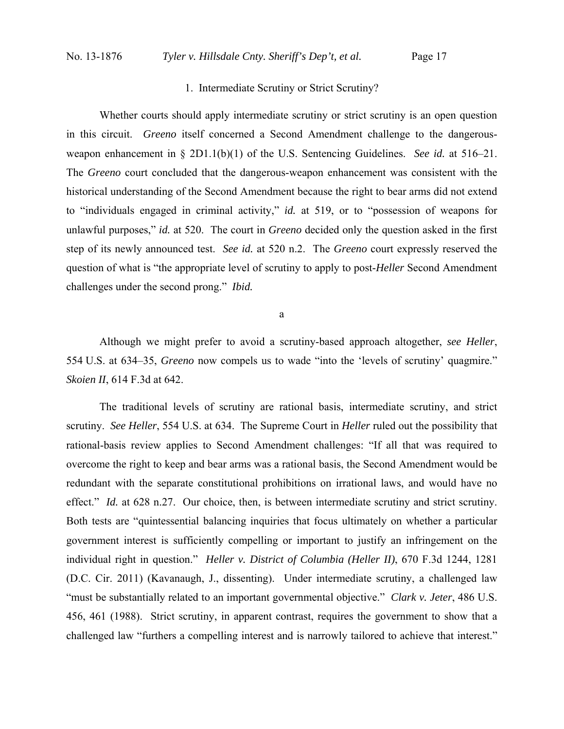# 1. Intermediate Scrutiny or Strict Scrutiny?

Whether courts should apply intermediate scrutiny or strict scrutiny is an open question in this circuit. *Greeno* itself concerned a Second Amendment challenge to the dangerousweapon enhancement in § 2D1.1(b)(1) of the U.S. Sentencing Guidelines. *See id.* at 516–21. The *Greeno* court concluded that the dangerous-weapon enhancement was consistent with the historical understanding of the Second Amendment because the right to bear arms did not extend to "individuals engaged in criminal activity," *id.* at 519, or to "possession of weapons for unlawful purposes," *id.* at 520. The court in *Greeno* decided only the question asked in the first step of its newly announced test. *See id.* at 520 n.2. The *Greeno* court expressly reserved the question of what is "the appropriate level of scrutiny to apply to post-*Heller* Second Amendment challenges under the second prong." *Ibid.*

a

Although we might prefer to avoid a scrutiny-based approach altogether, *see Heller*, 554 U.S. at 634–35, *Greeno* now compels us to wade "into the 'levels of scrutiny' quagmire." *Skoien II*, 614 F.3d at 642.

The traditional levels of scrutiny are rational basis, intermediate scrutiny, and strict scrutiny. *See Heller*, 554 U.S. at 634. The Supreme Court in *Heller* ruled out the possibility that rational-basis review applies to Second Amendment challenges: "If all that was required to overcome the right to keep and bear arms was a rational basis, the Second Amendment would be redundant with the separate constitutional prohibitions on irrational laws, and would have no effect." *Id.* at 628 n.27. Our choice, then, is between intermediate scrutiny and strict scrutiny. Both tests are "quintessential balancing inquiries that focus ultimately on whether a particular government interest is sufficiently compelling or important to justify an infringement on the individual right in question." *Heller v. District of Columbia (Heller II)*, 670 F.3d 1244, 1281 (D.C. Cir. 2011) (Kavanaugh, J., dissenting). Under intermediate scrutiny, a challenged law "must be substantially related to an important governmental objective." *Clark v. Jeter*, 486 U.S. 456, 461 (1988). Strict scrutiny, in apparent contrast, requires the government to show that a challenged law "furthers a compelling interest and is narrowly tailored to achieve that interest."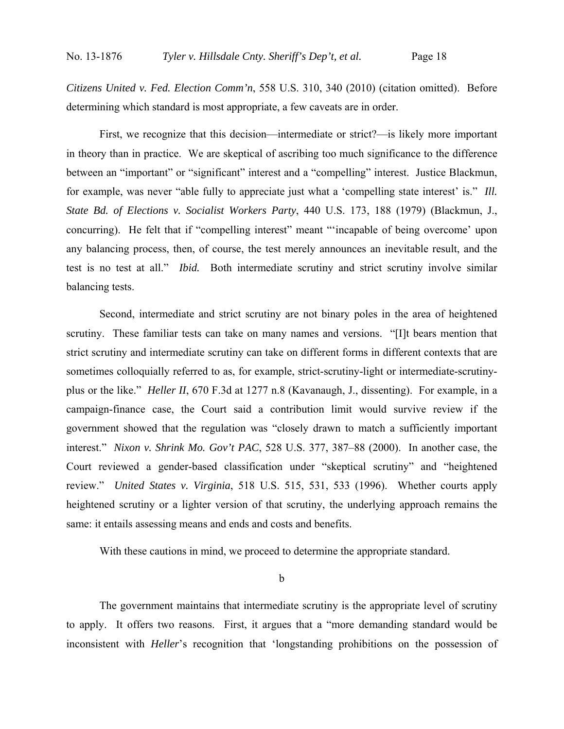*Citizens United v. Fed. Election Comm'n*, 558 U.S. 310, 340 (2010) (citation omitted). Before determining which standard is most appropriate, a few caveats are in order.

First, we recognize that this decision—intermediate or strict?—is likely more important in theory than in practice. We are skeptical of ascribing too much significance to the difference between an "important" or "significant" interest and a "compelling" interest. Justice Blackmun, for example, was never "able fully to appreciate just what a 'compelling state interest' is." *Ill. State Bd. of Elections v. Socialist Workers Party*, 440 U.S. 173, 188 (1979) (Blackmun, J., concurring). He felt that if "compelling interest" meant "'incapable of being overcome' upon any balancing process, then, of course, the test merely announces an inevitable result, and the test is no test at all." *Ibid.* Both intermediate scrutiny and strict scrutiny involve similar balancing tests.

Second, intermediate and strict scrutiny are not binary poles in the area of heightened scrutiny. These familiar tests can take on many names and versions. "[I]t bears mention that strict scrutiny and intermediate scrutiny can take on different forms in different contexts that are sometimes colloquially referred to as, for example, strict-scrutiny-light or intermediate-scrutinyplus or the like." *Heller II*, 670 F.3d at 1277 n.8 (Kavanaugh, J., dissenting). For example, in a campaign-finance case, the Court said a contribution limit would survive review if the government showed that the regulation was "closely drawn to match a sufficiently important interest." *Nixon v. Shrink Mo. Gov't PAC*, 528 U.S. 377, 387–88 (2000). In another case, the Court reviewed a gender-based classification under "skeptical scrutiny" and "heightened review." *United States v. Virginia*, 518 U.S. 515, 531, 533 (1996). Whether courts apply heightened scrutiny or a lighter version of that scrutiny, the underlying approach remains the same: it entails assessing means and ends and costs and benefits.

With these cautions in mind, we proceed to determine the appropriate standard.

b

The government maintains that intermediate scrutiny is the appropriate level of scrutiny to apply. It offers two reasons. First, it argues that a "more demanding standard would be inconsistent with *Heller*'s recognition that 'longstanding prohibitions on the possession of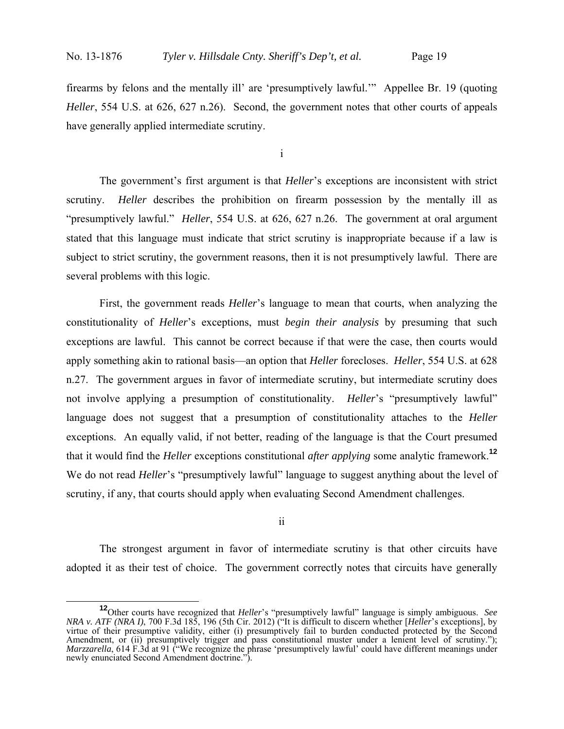firearms by felons and the mentally ill' are 'presumptively lawful.'" Appellee Br. 19 (quoting *Heller*, 554 U.S. at 626, 627 n.26). Second, the government notes that other courts of appeals have generally applied intermediate scrutiny.

i

 The government's first argument is that *Heller*'s exceptions are inconsistent with strict scrutiny. *Heller* describes the prohibition on firearm possession by the mentally ill as "presumptively lawful." *Heller*, 554 U.S. at 626, 627 n.26. The government at oral argument stated that this language must indicate that strict scrutiny is inappropriate because if a law is subject to strict scrutiny, the government reasons, then it is not presumptively lawful. There are several problems with this logic.

First, the government reads *Heller*'s language to mean that courts, when analyzing the constitutionality of *Heller*'s exceptions, must *begin their analysis* by presuming that such exceptions are lawful. This cannot be correct because if that were the case, then courts would apply something akin to rational basis—an option that *Heller* forecloses. *Heller*, 554 U.S. at 628 n.27. The government argues in favor of intermediate scrutiny, but intermediate scrutiny does not involve applying a presumption of constitutionality. *Heller*'s "presumptively lawful" language does not suggest that a presumption of constitutionality attaches to the *Heller* exceptions. An equally valid, if not better, reading of the language is that the Court presumed that it would find the *Heller* exceptions constitutional *after applying* some analytic framework.**<sup>12</sup>** We do not read *Heller*'s "presumptively lawful" language to suggest anything about the level of scrutiny, if any, that courts should apply when evaluating Second Amendment challenges.

ii

The strongest argument in favor of intermediate scrutiny is that other circuits have adopted it as their test of choice. The government correctly notes that circuits have generally

**<sup>12</sup>**Other courts have recognized that *Heller*'s "presumptively lawful" language is simply ambiguous. *See NRA v. ATF (NRA I)*, 700 F.3d 185, 196 (5th Cir. 2012) ("It is difficult to discern whether [*Heller*'s exceptions], by virtue of their presumptive validity, either (i) presumptively fail to burden conducted protected by the Second Amendment, or (ii) presumptively trigger and pass constitutional muster under a lenient level of scrutiny."); *Marzzarella*, 614 F.3d at 91 ("We recognize the phrase 'presumptively lawful' could have different meanings under newly enunciated Second Amendment doctrine.").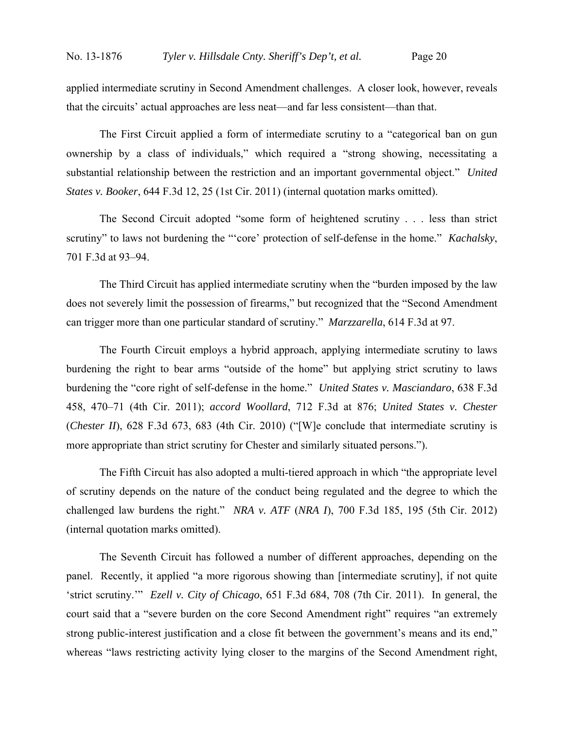applied intermediate scrutiny in Second Amendment challenges. A closer look, however, reveals that the circuits' actual approaches are less neat—and far less consistent—than that.

The First Circuit applied a form of intermediate scrutiny to a "categorical ban on gun ownership by a class of individuals," which required a "strong showing, necessitating a substantial relationship between the restriction and an important governmental object." *United States v. Booker*, 644 F.3d 12, 25 (1st Cir. 2011) (internal quotation marks omitted).

The Second Circuit adopted "some form of heightened scrutiny . . . less than strict scrutiny" to laws not burdening the "'core' protection of self-defense in the home." *Kachalsky*, 701 F.3d at 93–94.

The Third Circuit has applied intermediate scrutiny when the "burden imposed by the law does not severely limit the possession of firearms," but recognized that the "Second Amendment can trigger more than one particular standard of scrutiny." *Marzzarella*, 614 F.3d at 97.

The Fourth Circuit employs a hybrid approach, applying intermediate scrutiny to laws burdening the right to bear arms "outside of the home" but applying strict scrutiny to laws burdening the "core right of self-defense in the home." *United States v. Masciandaro*, 638 F.3d 458, 470–71 (4th Cir. 2011); *accord Woollard*, 712 F.3d at 876; *United States v. Chester* (*Chester II*), 628 F.3d 673, 683 (4th Cir. 2010) ("[W]e conclude that intermediate scrutiny is more appropriate than strict scrutiny for Chester and similarly situated persons.").

The Fifth Circuit has also adopted a multi-tiered approach in which "the appropriate level of scrutiny depends on the nature of the conduct being regulated and the degree to which the challenged law burdens the right." *NRA v. ATF* (*NRA I*), 700 F.3d 185, 195 (5th Cir. 2012) (internal quotation marks omitted).

The Seventh Circuit has followed a number of different approaches, depending on the panel. Recently, it applied "a more rigorous showing than [intermediate scrutiny], if not quite 'strict scrutiny.'" *Ezell v. City of Chicago*, 651 F.3d 684, 708 (7th Cir. 2011). In general, the court said that a "severe burden on the core Second Amendment right" requires "an extremely strong public-interest justification and a close fit between the government's means and its end," whereas "laws restricting activity lying closer to the margins of the Second Amendment right,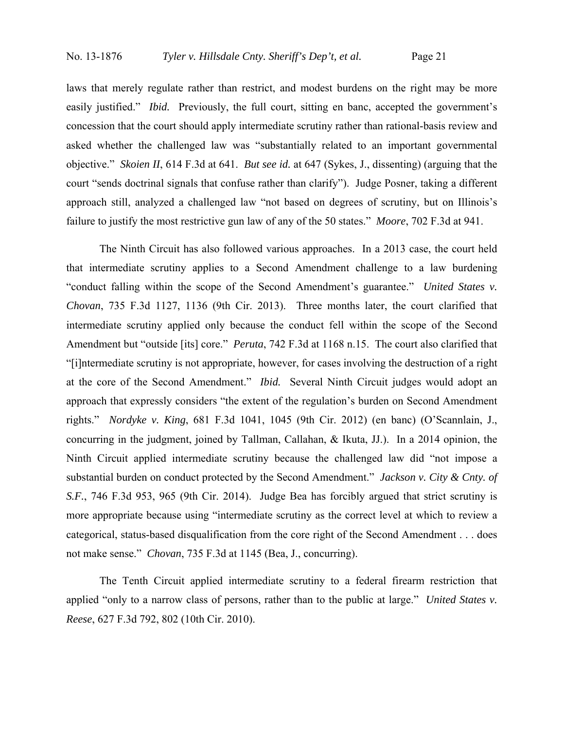laws that merely regulate rather than restrict, and modest burdens on the right may be more easily justified." *Ibid.* Previously, the full court, sitting en banc, accepted the government's concession that the court should apply intermediate scrutiny rather than rational-basis review and asked whether the challenged law was "substantially related to an important governmental objective." *Skoien II*, 614 F.3d at 641. *But see id.* at 647 (Sykes, J., dissenting) (arguing that the court "sends doctrinal signals that confuse rather than clarify"). Judge Posner, taking a different approach still, analyzed a challenged law "not based on degrees of scrutiny, but on Illinois's failure to justify the most restrictive gun law of any of the 50 states." *Moore*, 702 F.3d at 941.

The Ninth Circuit has also followed various approaches. In a 2013 case, the court held that intermediate scrutiny applies to a Second Amendment challenge to a law burdening "conduct falling within the scope of the Second Amendment's guarantee." *United States v. Chovan*, 735 F.3d 1127, 1136 (9th Cir. 2013). Three months later, the court clarified that intermediate scrutiny applied only because the conduct fell within the scope of the Second Amendment but "outside [its] core." *Peruta*, 742 F.3d at 1168 n.15. The court also clarified that "[i]ntermediate scrutiny is not appropriate, however, for cases involving the destruction of a right at the core of the Second Amendment." *Ibid.* Several Ninth Circuit judges would adopt an approach that expressly considers "the extent of the regulation's burden on Second Amendment rights." *Nordyke v. King*, 681 F.3d 1041, 1045 (9th Cir. 2012) (en banc) (O'Scannlain, J., concurring in the judgment, joined by Tallman, Callahan, & Ikuta, JJ.). In a 2014 opinion, the Ninth Circuit applied intermediate scrutiny because the challenged law did "not impose a substantial burden on conduct protected by the Second Amendment." *Jackson v. City & Cnty. of S.F.*, 746 F.3d 953, 965 (9th Cir. 2014). Judge Bea has forcibly argued that strict scrutiny is more appropriate because using "intermediate scrutiny as the correct level at which to review a categorical, status-based disqualification from the core right of the Second Amendment . . . does not make sense." *Chovan*, 735 F.3d at 1145 (Bea, J., concurring).

The Tenth Circuit applied intermediate scrutiny to a federal firearm restriction that applied "only to a narrow class of persons, rather than to the public at large." *United States v. Reese*, 627 F.3d 792, 802 (10th Cir. 2010).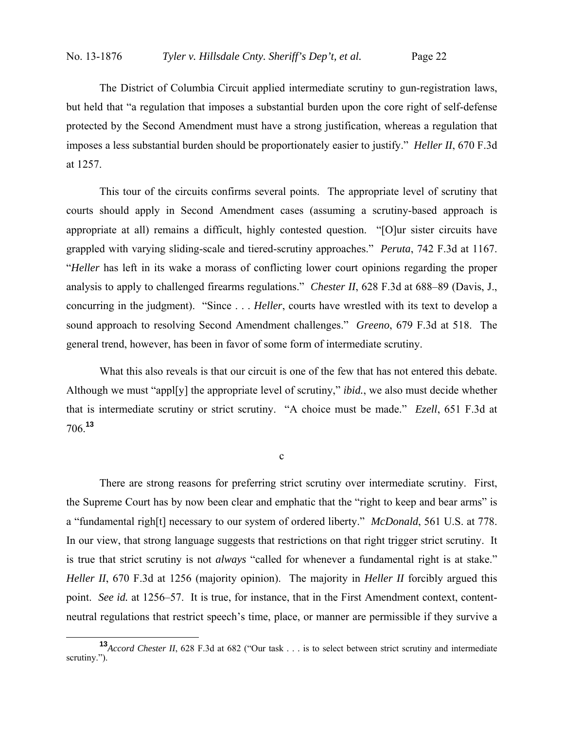The District of Columbia Circuit applied intermediate scrutiny to gun-registration laws, but held that "a regulation that imposes a substantial burden upon the core right of self-defense protected by the Second Amendment must have a strong justification, whereas a regulation that imposes a less substantial burden should be proportionately easier to justify." *Heller II*, 670 F.3d at 1257.

This tour of the circuits confirms several points. The appropriate level of scrutiny that courts should apply in Second Amendment cases (assuming a scrutiny-based approach is appropriate at all) remains a difficult, highly contested question. "[O]ur sister circuits have grappled with varying sliding-scale and tiered-scrutiny approaches." *Peruta*, 742 F.3d at 1167. "*Heller* has left in its wake a morass of conflicting lower court opinions regarding the proper analysis to apply to challenged firearms regulations." *Chester II*, 628 F.3d at 688–89 (Davis, J., concurring in the judgment). "Since . . . *Heller*, courts have wrestled with its text to develop a sound approach to resolving Second Amendment challenges." *Greeno*, 679 F.3d at 518. The general trend, however, has been in favor of some form of intermediate scrutiny.

What this also reveals is that our circuit is one of the few that has not entered this debate. Although we must "appl[y] the appropriate level of scrutiny," *ibid.*, we also must decide whether that is intermediate scrutiny or strict scrutiny. "A choice must be made." *Ezell*, 651 F.3d at 706.**<sup>13</sup>**

 $\mathbf c$ 

There are strong reasons for preferring strict scrutiny over intermediate scrutiny. First, the Supreme Court has by now been clear and emphatic that the "right to keep and bear arms" is a "fundamental righ[t] necessary to our system of ordered liberty." *McDonald*, 561 U.S. at 778. In our view, that strong language suggests that restrictions on that right trigger strict scrutiny. It is true that strict scrutiny is not *always* "called for whenever a fundamental right is at stake." *Heller II*, 670 F.3d at 1256 (majority opinion). The majority in *Heller II* forcibly argued this point. *See id.* at 1256–57. It is true, for instance, that in the First Amendment context, contentneutral regulations that restrict speech's time, place, or manner are permissible if they survive a

**<sup>13</sup>***Accord Chester II*, 628 F.3d at 682 ("Our task . . . is to select between strict scrutiny and intermediate scrutiny.").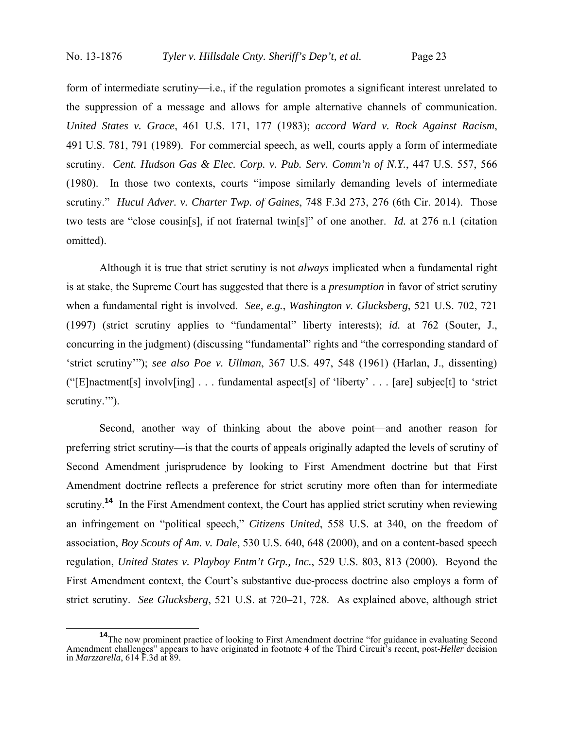form of intermediate scrutiny—i.e., if the regulation promotes a significant interest unrelated to the suppression of a message and allows for ample alternative channels of communication. *United States v. Grace*, 461 U.S. 171, 177 (1983); *accord Ward v. Rock Against Racism*, 491 U.S. 781, 791 (1989). For commercial speech, as well, courts apply a form of intermediate scrutiny. *Cent. Hudson Gas & Elec. Corp. v. Pub. Serv. Comm'n of N.Y.*, 447 U.S. 557, 566 (1980). In those two contexts, courts "impose similarly demanding levels of intermediate scrutiny." *Hucul Adver. v. Charter Twp. of Gaines*, 748 F.3d 273, 276 (6th Cir. 2014). Those two tests are "close cousin[s], if not fraternal twin[s]" of one another. *Id.* at 276 n.1 (citation omitted).

 Although it is true that strict scrutiny is not *always* implicated when a fundamental right is at stake, the Supreme Court has suggested that there is a *presumption* in favor of strict scrutiny when a fundamental right is involved. *See, e.g.*, *Washington v. Glucksberg*, 521 U.S. 702, 721 (1997) (strict scrutiny applies to "fundamental" liberty interests); *id.* at 762 (Souter, J., concurring in the judgment) (discussing "fundamental" rights and "the corresponding standard of 'strict scrutiny'"); *see also Poe v. Ullman*, 367 U.S. 497, 548 (1961) (Harlan, J., dissenting) ("[E]nactment[s] involv[ing] . . . fundamental aspect[s] of 'liberty' . . . [are] subjec[t] to 'strict scrutiny."").

 Second, another way of thinking about the above point—and another reason for preferring strict scrutiny—is that the courts of appeals originally adapted the levels of scrutiny of Second Amendment jurisprudence by looking to First Amendment doctrine but that First Amendment doctrine reflects a preference for strict scrutiny more often than for intermediate scrutiny.<sup>14</sup> In the First Amendment context, the Court has applied strict scrutiny when reviewing an infringement on "political speech," *Citizens United*, 558 U.S. at 340, on the freedom of association, *Boy Scouts of Am. v. Dale*, 530 U.S. 640, 648 (2000), and on a content-based speech regulation, *United States v. Playboy Entm't Grp., Inc.*, 529 U.S. 803, 813 (2000). Beyond the First Amendment context, the Court's substantive due-process doctrine also employs a form of strict scrutiny. *See Glucksberg*, 521 U.S. at 720–21, 728. As explained above, although strict

<sup>&</sup>lt;sup>14</sup>The now prominent practice of looking to First Amendment doctrine "for guidance in evaluating Second Amendment challenges" appears to have originated in footnote 4 of the Third Circuit's recent, post-*Heller* decision in *Marzzarella*, 614 F.3d at 89.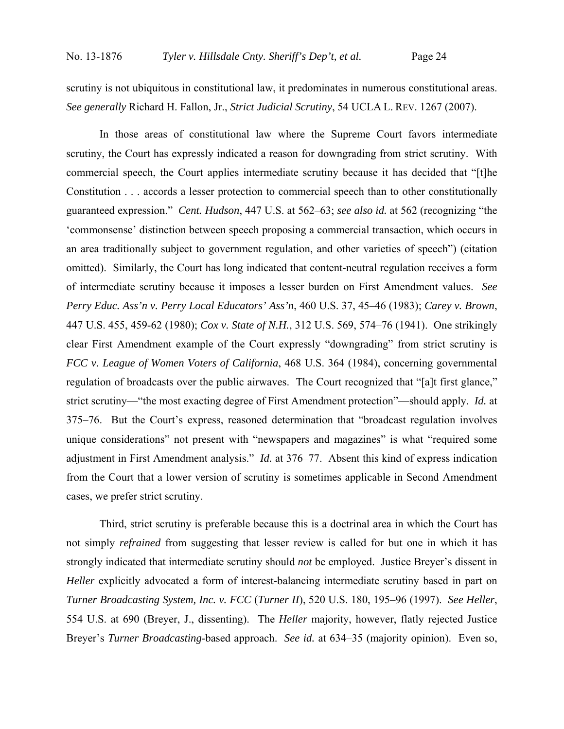scrutiny is not ubiquitous in constitutional law, it predominates in numerous constitutional areas. *See generally* Richard H. Fallon, Jr., *Strict Judicial Scrutiny*, 54 UCLA L. REV. 1267 (2007).

 In those areas of constitutional law where the Supreme Court favors intermediate scrutiny, the Court has expressly indicated a reason for downgrading from strict scrutiny. With commercial speech, the Court applies intermediate scrutiny because it has decided that "[t]he Constitution . . . accords a lesser protection to commercial speech than to other constitutionally guaranteed expression." *Cent. Hudson*, 447 U.S. at 562–63; *see also id.* at 562 (recognizing "the 'commonsense' distinction between speech proposing a commercial transaction, which occurs in an area traditionally subject to government regulation, and other varieties of speech") (citation omitted). Similarly, the Court has long indicated that content-neutral regulation receives a form of intermediate scrutiny because it imposes a lesser burden on First Amendment values. *See Perry Educ. Ass'n v. Perry Local Educators' Ass'n*, 460 U.S. 37, 45–46 (1983); *Carey v. Brown*, 447 U.S. 455, 459-62 (1980); *Cox v. State of N.H.*, 312 U.S. 569, 574–76 (1941). One strikingly clear First Amendment example of the Court expressly "downgrading" from strict scrutiny is *FCC v. League of Women Voters of California*, 468 U.S. 364 (1984), concerning governmental regulation of broadcasts over the public airwaves. The Court recognized that "[a]t first glance," strict scrutiny—"the most exacting degree of First Amendment protection"—should apply. *Id.* at 375–76. But the Court's express, reasoned determination that "broadcast regulation involves unique considerations" not present with "newspapers and magazines" is what "required some adjustment in First Amendment analysis." *Id.* at 376–77. Absent this kind of express indication from the Court that a lower version of scrutiny is sometimes applicable in Second Amendment cases, we prefer strict scrutiny.

 Third, strict scrutiny is preferable because this is a doctrinal area in which the Court has not simply *refrained* from suggesting that lesser review is called for but one in which it has strongly indicated that intermediate scrutiny should *not* be employed. Justice Breyer's dissent in *Heller* explicitly advocated a form of interest-balancing intermediate scrutiny based in part on *Turner Broadcasting System, Inc. v. FCC* (*Turner II*), 520 U.S. 180, 195–96 (1997). *See Heller*, 554 U.S. at 690 (Breyer, J., dissenting). The *Heller* majority, however, flatly rejected Justice Breyer's *Turner Broadcasting*-based approach. *See id.* at 634–35 (majority opinion). Even so,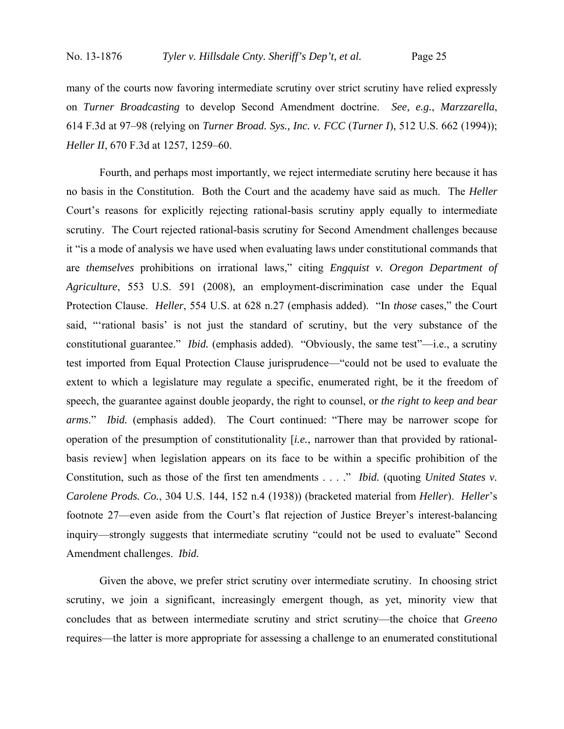many of the courts now favoring intermediate scrutiny over strict scrutiny have relied expressly on *Turner Broadcasting* to develop Second Amendment doctrine. *See, e.g.*, *Marzzarella*, 614 F.3d at 97–98 (relying on *Turner Broad. Sys., Inc. v. FCC* (*Turner I*), 512 U.S. 662 (1994)); *Heller II*, 670 F.3d at 1257, 1259–60.

 Fourth, and perhaps most importantly, we reject intermediate scrutiny here because it has no basis in the Constitution. Both the Court and the academy have said as much. The *Heller* Court's reasons for explicitly rejecting rational-basis scrutiny apply equally to intermediate scrutiny. The Court rejected rational-basis scrutiny for Second Amendment challenges because it "is a mode of analysis we have used when evaluating laws under constitutional commands that are *themselves* prohibitions on irrational laws," citing *Engquist v. Oregon Department of Agriculture*, 553 U.S. 591 (2008), an employment-discrimination case under the Equal Protection Clause. *Heller*, 554 U.S. at 628 n.27 (emphasis added). "In *those* cases," the Court said, "'rational basis' is not just the standard of scrutiny, but the very substance of the constitutional guarantee." *Ibid.* (emphasis added). "Obviously, the same test"—i.e., a scrutiny test imported from Equal Protection Clause jurisprudence—"could not be used to evaluate the extent to which a legislature may regulate a specific, enumerated right, be it the freedom of speech, the guarantee against double jeopardy, the right to counsel, or *the right to keep and bear arms*." *Ibid.* (emphasis added). The Court continued: "There may be narrower scope for operation of the presumption of constitutionality [*i.e.*, narrower than that provided by rationalbasis review] when legislation appears on its face to be within a specific prohibition of the Constitution, such as those of the first ten amendments . . . ." *Ibid.* (quoting *United States v. Carolene Prods. Co.*, 304 U.S. 144, 152 n.4 (1938)) (bracketed material from *Heller*). *Heller*'s footnote 27—even aside from the Court's flat rejection of Justice Breyer's interest-balancing inquiry—strongly suggests that intermediate scrutiny "could not be used to evaluate" Second Amendment challenges. *Ibid.*

 Given the above, we prefer strict scrutiny over intermediate scrutiny. In choosing strict scrutiny, we join a significant, increasingly emergent though, as yet, minority view that concludes that as between intermediate scrutiny and strict scrutiny—the choice that *Greeno* requires—the latter is more appropriate for assessing a challenge to an enumerated constitutional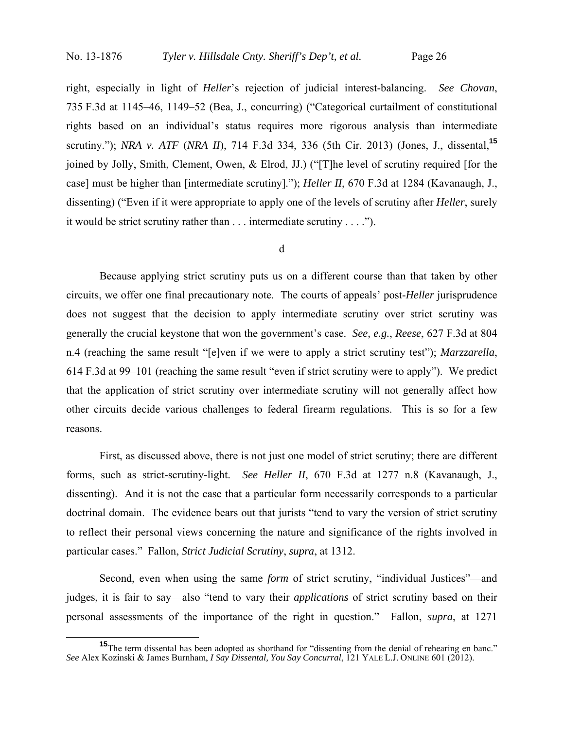right, especially in light of *Heller*'s rejection of judicial interest-balancing. *See Chovan*, 735 F.3d at 1145–46, 1149–52 (Bea, J., concurring) ("Categorical curtailment of constitutional rights based on an individual's status requires more rigorous analysis than intermediate scrutiny."); *NRA v. ATF* (*NRA II*), 714 F.3d 334, 336 (5th Cir. 2013) (Jones, J., dissental,**<sup>15</sup>** joined by Jolly, Smith, Clement, Owen, & Elrod, JJ.) ("[T]he level of scrutiny required [for the case] must be higher than [intermediate scrutiny]."); *Heller II*, 670 F.3d at 1284 (Kavanaugh, J., dissenting) ("Even if it were appropriate to apply one of the levels of scrutiny after *Heller*, surely it would be strict scrutiny rather than . . . intermediate scrutiny . . . .").

#### d

Because applying strict scrutiny puts us on a different course than that taken by other circuits, we offer one final precautionary note. The courts of appeals' post-*Heller* jurisprudence does not suggest that the decision to apply intermediate scrutiny over strict scrutiny was generally the crucial keystone that won the government's case. *See, e.g.*, *Reese*, 627 F.3d at 804 n.4 (reaching the same result "[e]ven if we were to apply a strict scrutiny test"); *Marzzarella*, 614 F.3d at 99–101 (reaching the same result "even if strict scrutiny were to apply"). We predict that the application of strict scrutiny over intermediate scrutiny will not generally affect how other circuits decide various challenges to federal firearm regulations. This is so for a few reasons.

First, as discussed above, there is not just one model of strict scrutiny; there are different forms, such as strict-scrutiny-light. *See Heller II*, 670 F.3d at 1277 n.8 (Kavanaugh, J., dissenting). And it is not the case that a particular form necessarily corresponds to a particular doctrinal domain. The evidence bears out that jurists "tend to vary the version of strict scrutiny to reflect their personal views concerning the nature and significance of the rights involved in particular cases." Fallon, *Strict Judicial Scrutiny*, *supra*, at 1312.

Second, even when using the same *form* of strict scrutiny, "individual Justices"—and judges, it is fair to say—also "tend to vary their *applications* of strict scrutiny based on their personal assessments of the importance of the right in question." Fallon, *supra*, at 1271

**<sup>15</sup>**The term dissental has been adopted as shorthand for "dissenting from the denial of rehearing en banc." *See* Alex Kozinski & James Burnham, *I Say Dissental, You Say Concurral*, 121 YALE L.J. ONLINE 601 (2012).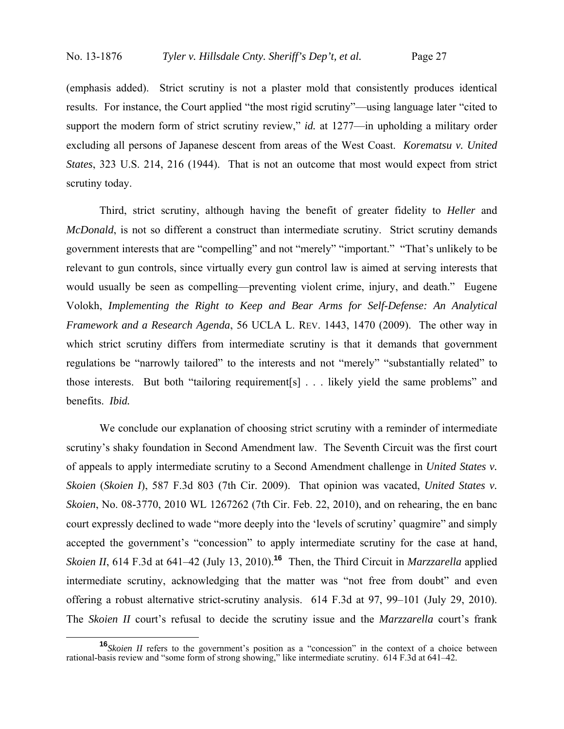(emphasis added). Strict scrutiny is not a plaster mold that consistently produces identical results. For instance, the Court applied "the most rigid scrutiny"—using language later "cited to support the modern form of strict scrutiny review," *id.* at 1277—in upholding a military order excluding all persons of Japanese descent from areas of the West Coast. *Korematsu v. United States*, 323 U.S. 214, 216 (1944). That is not an outcome that most would expect from strict scrutiny today.

Third, strict scrutiny, although having the benefit of greater fidelity to *Heller* and *McDonald*, is not so different a construct than intermediate scrutiny. Strict scrutiny demands government interests that are "compelling" and not "merely" "important." "That's unlikely to be relevant to gun controls, since virtually every gun control law is aimed at serving interests that would usually be seen as compelling—preventing violent crime, injury, and death." Eugene Volokh, *Implementing the Right to Keep and Bear Arms for Self-Defense: An Analytical Framework and a Research Agenda*, 56 UCLA L. REV. 1443, 1470 (2009). The other way in which strict scrutiny differs from intermediate scrutiny is that it demands that government regulations be "narrowly tailored" to the interests and not "merely" "substantially related" to those interests. But both "tailoring requirement[s] . . . likely yield the same problems" and benefits. *Ibid.* 

We conclude our explanation of choosing strict scrutiny with a reminder of intermediate scrutiny's shaky foundation in Second Amendment law. The Seventh Circuit was the first court of appeals to apply intermediate scrutiny to a Second Amendment challenge in *United States v. Skoien* (*Skoien I*), 587 F.3d 803 (7th Cir. 2009). That opinion was vacated, *United States v. Skoien*, No. 08-3770, 2010 WL 1267262 (7th Cir. Feb. 22, 2010), and on rehearing, the en banc court expressly declined to wade "more deeply into the 'levels of scrutiny' quagmire" and simply accepted the government's "concession" to apply intermediate scrutiny for the case at hand, *Skoien II*, 614 F.3d at 641–42 (July 13, 2010).**<sup>16</sup>** Then, the Third Circuit in *Marzzarella* applied intermediate scrutiny, acknowledging that the matter was "not free from doubt" and even offering a robust alternative strict-scrutiny analysis. 614 F.3d at 97, 99–101 (July 29, 2010). The *Skoien II* court's refusal to decide the scrutiny issue and the *Marzzarella* court's frank

**<sup>16</sup>***Skoien II* refers to the government's position as a "concession" in the context of a choice between rational-basis review and "some form of strong showing," like intermediate scrutiny. 614 F.3d at 641–42.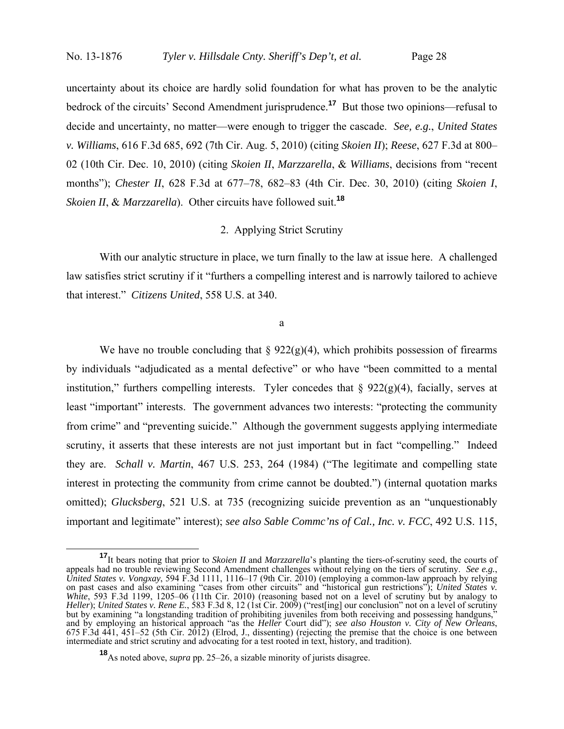uncertainty about its choice are hardly solid foundation for what has proven to be the analytic bedrock of the circuits' Second Amendment jurisprudence.**<sup>17</sup>** But those two opinions—refusal to decide and uncertainty, no matter—were enough to trigger the cascade. *See, e.g.*, *United States v. Williams*, 616 F.3d 685, 692 (7th Cir. Aug. 5, 2010) (citing *Skoien II*); *Reese*, 627 F.3d at 800– 02 (10th Cir. Dec. 10, 2010) (citing *Skoien II*, *Marzzarella*, & *Williams*, decisions from "recent months"); *Chester II*, 628 F.3d at 677–78, 682–83 (4th Cir. Dec. 30, 2010) (citing *Skoien I*, *Skoien II*, & *Marzzarella*). Other circuits have followed suit.**<sup>18</sup>**

# 2. Applying Strict Scrutiny

With our analytic structure in place, we turn finally to the law at issue here. A challenged law satisfies strict scrutiny if it "furthers a compelling interest and is narrowly tailored to achieve that interest." *Citizens United*, 558 U.S. at 340.

a

We have no trouble concluding that  $\S 922(g)(4)$ , which prohibits possession of firearms by individuals "adjudicated as a mental defective" or who have "been committed to a mental institution," furthers compelling interests. Tyler concedes that  $\S 922(g)(4)$ , facially, serves at least "important" interests. The government advances two interests: "protecting the community from crime" and "preventing suicide." Although the government suggests applying intermediate scrutiny, it asserts that these interests are not just important but in fact "compelling." Indeed they are. *Schall v. Martin*, 467 U.S. 253, 264 (1984) ("The legitimate and compelling state interest in protecting the community from crime cannot be doubted.") (internal quotation marks omitted); *Glucksberg*, 521 U.S. at 735 (recognizing suicide prevention as an "unquestionably important and legitimate" interest); *see also Sable Commc'ns of Cal., Inc. v. FCC*, 492 U.S. 115,

**<sup>17</sup>**It bears noting that prior to *Skoien II* and *Marzzarella*'s planting the tiers-of-scrutiny seed, the courts of appeals had no trouble reviewing Second Amendment challenges without relying on the tiers of scrutiny. See e.g.,<br>United States v. Vongxay, 594 F.3d 1111, 1116–17 (9th Cir. 2010) (employing a common-law approach by relying on past cases and also examining "cases from other circuits" and "historical gun restrictions"); *United States v. White*, 593 F.3d 1199, 1205–06 (11th Cir. 2010) (reasoning based not on a level of scrutiny but by analogy to *Heller*); *United States v. Rene E.*, 583 F.3d 8, 12 (1st Cir. 2009) ("rest[ing] our conclusion" not on a level of scrutiny but by examining "a longstanding tradition of prohibiting juveniles from both receiving and possessing handguns," and by employing an historical approach "as the *Heller* Court did"); see also Houston v. City of New Orleans,<br>675 F.3d 441, 451–52 (5th Cir. 2012) (Elrod, J., dissenting) (rejecting the premise that the choice is one betw intermediate and strict scrutiny and advocating for a test rooted in text, history, and tradition).

**<sup>18</sup>**As noted above, *supra* pp. 25–26, a sizable minority of jurists disagree.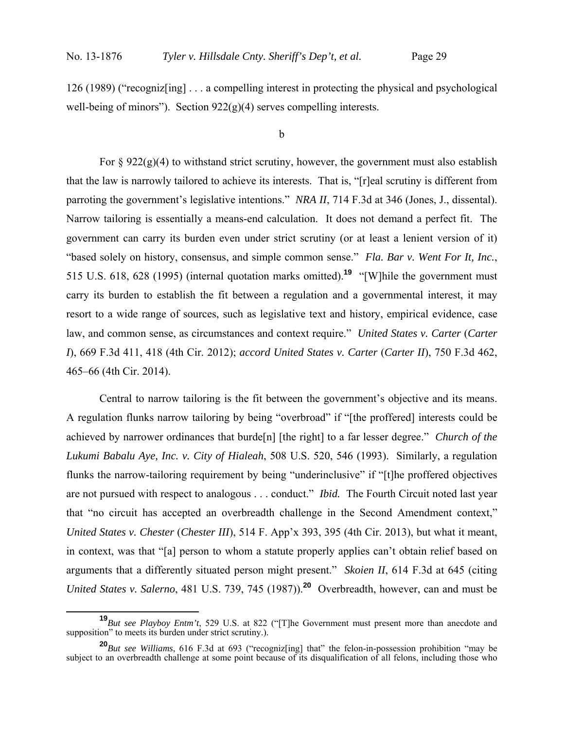126 (1989) ("recogniz[ing] . . . a compelling interest in protecting the physical and psychological well-being of minors"). Section  $922(g)(4)$  serves compelling interests.

#### b

For  $\S 922(g)(4)$  to withstand strict scrutiny, however, the government must also establish that the law is narrowly tailored to achieve its interests. That is, "[r]eal scrutiny is different from parroting the government's legislative intentions." *NRA II*, 714 F.3d at 346 (Jones, J., dissental). Narrow tailoring is essentially a means-end calculation. It does not demand a perfect fit. The government can carry its burden even under strict scrutiny (or at least a lenient version of it) "based solely on history, consensus, and simple common sense." *Fla. Bar v. Went For It, Inc.*, 515 U.S. 618, 628 (1995) (internal quotation marks omitted).**<sup>19</sup>** "[W]hile the government must carry its burden to establish the fit between a regulation and a governmental interest, it may resort to a wide range of sources, such as legislative text and history, empirical evidence, case law, and common sense, as circumstances and context require." *United States v. Carter* (*Carter I*), 669 F.3d 411, 418 (4th Cir. 2012); *accord United States v. Carter* (*Carter II*), 750 F.3d 462, 465–66 (4th Cir. 2014).

Central to narrow tailoring is the fit between the government's objective and its means. A regulation flunks narrow tailoring by being "overbroad" if "[the proffered] interests could be achieved by narrower ordinances that burde[n] [the right] to a far lesser degree." *Church of the Lukumi Babalu Aye, Inc. v. City of Hialeah*, 508 U.S. 520, 546 (1993). Similarly, a regulation flunks the narrow-tailoring requirement by being "underinclusive" if "[t]he proffered objectives are not pursued with respect to analogous . . . conduct." *Ibid.* The Fourth Circuit noted last year that "no circuit has accepted an overbreadth challenge in the Second Amendment context," *United States v. Chester* (*Chester III*), 514 F. App'x 393, 395 (4th Cir. 2013), but what it meant, in context, was that "[a] person to whom a statute properly applies can't obtain relief based on arguments that a differently situated person might present." *Skoien II*, 614 F.3d at 645 (citing *United States v. Salerno*, 481 U.S. 739, 745 (1987)).**<sup>20</sup>** Overbreadth, however, can and must be

**<sup>19</sup>***But see Playboy Entm't*, 529 U.S. at 822 ("[T]he Government must present more than anecdote and supposition" to meets its burden under strict scrutiny.).

**<sup>20</sup>***But see Williams*, 616 F.3d at 693 ("recogniz[ing] that" the felon-in-possession prohibition "may be subject to an overbreadth challenge at some point because of its disqualification of all felons, including those who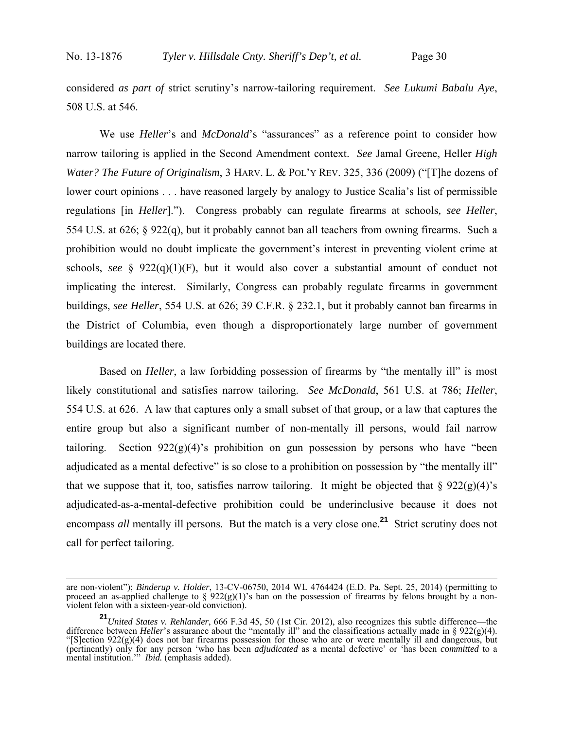considered *as part of* strict scrutiny's narrow-tailoring requirement. *See Lukumi Babalu Aye*, 508 U.S. at 546.

We use *Heller*'s and *McDonald*'s "assurances" as a reference point to consider how narrow tailoring is applied in the Second Amendment context. *See* Jamal Greene, Heller *High Water? The Future of Originalism*, 3 HARV. L. & POL'Y REV. 325, 336 (2009) ("[T]he dozens of lower court opinions . . . have reasoned largely by analogy to Justice Scalia's list of permissible regulations [in *Heller*]."). Congress probably can regulate firearms at schools*, see Heller*, 554 U.S. at 626; § 922(q), but it probably cannot ban all teachers from owning firearms. Such a prohibition would no doubt implicate the government's interest in preventing violent crime at schools, *see* § 922(q)(1)(F), but it would also cover a substantial amount of conduct not implicating the interest. Similarly, Congress can probably regulate firearms in government buildings, *see Heller*, 554 U.S. at 626; 39 C.F.R. § 232.1, but it probably cannot ban firearms in the District of Columbia, even though a disproportionately large number of government buildings are located there.

Based on *Heller*, a law forbidding possession of firearms by "the mentally ill" is most likely constitutional and satisfies narrow tailoring. *See McDonald*, 561 U.S. at 786; *Heller*, 554 U.S. at 626. A law that captures only a small subset of that group, or a law that captures the entire group but also a significant number of non-mentally ill persons, would fail narrow tailoring. Section  $922(g)(4)$ 's prohibition on gun possession by persons who have "been adjudicated as a mental defective" is so close to a prohibition on possession by "the mentally ill" that we suppose that it, too, satisfies narrow tailoring. It might be objected that  $\S 922(g)(4)$ 's adjudicated-as-a-mental-defective prohibition could be underinclusive because it does not encompass *all* mentally ill persons. But the match is a very close one.**<sup>21</sup>** Strict scrutiny does not call for perfect tailoring.

are non-violent"); *Binderup v. Holder*, 13-CV-06750, 2014 WL 4764424 (E.D. Pa. Sept. 25, 2014) (permitting to proceed an as-applied challenge to §  $922(g)(1)$ 's ban on the possession of firearms by felons brought by a nonviolent felon with a sixteen-year-old conviction).

**<sup>21</sup>***United States v. Rehlander*, 666 F.3d 45, 50 (1st Cir. 2012), also recognizes this subtle difference—the difference between *Heller*'s assurance about the "mentally ill" and the classifications actually made in § 922(g)(4). "[S]ection  $922(g)(4)$  does not bar firearms possession for those who are or were mentally ill and dangerous, but (pertinently) only for any person 'who has been *adjudicated* as a mental defective' or 'has been *committed* to a mental institution.'" *Ibid.* (emphasis added).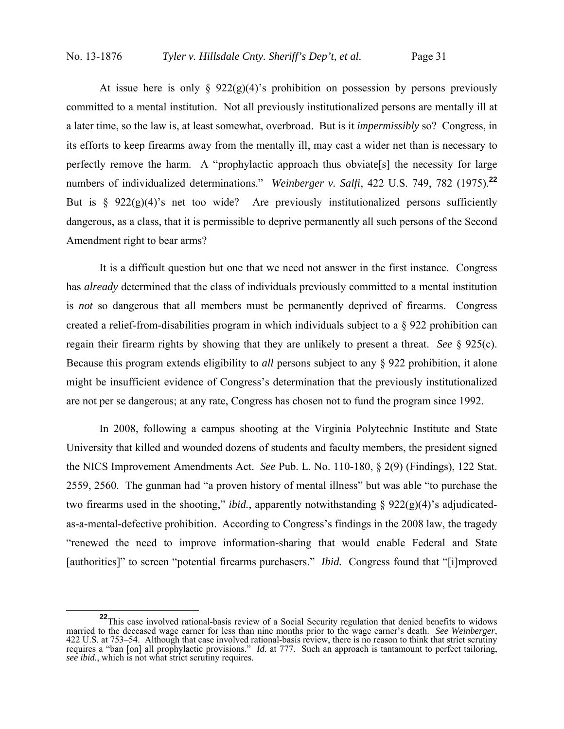At issue here is only  $\S 922(g)(4)$ 's prohibition on possession by persons previously committed to a mental institution. Not all previously institutionalized persons are mentally ill at a later time, so the law is, at least somewhat, overbroad. But is it *impermissibly* so? Congress, in its efforts to keep firearms away from the mentally ill, may cast a wider net than is necessary to perfectly remove the harm. A "prophylactic approach thus obviate[s] the necessity for large numbers of individualized determinations." *Weinberger v. Salfi*, 422 U.S. 749, 782 (1975).**<sup>22</sup>** But is  $\frac{6}{5}$  922(g)(4)'s net too wide? Are previously institutionalized persons sufficiently dangerous, as a class, that it is permissible to deprive permanently all such persons of the Second Amendment right to bear arms?

It is a difficult question but one that we need not answer in the first instance. Congress has *already* determined that the class of individuals previously committed to a mental institution is *not* so dangerous that all members must be permanently deprived of firearms. Congress created a relief-from-disabilities program in which individuals subject to a § 922 prohibition can regain their firearm rights by showing that they are unlikely to present a threat. *See* § 925(c). Because this program extends eligibility to *all* persons subject to any § 922 prohibition, it alone might be insufficient evidence of Congress's determination that the previously institutionalized are not per se dangerous; at any rate, Congress has chosen not to fund the program since 1992.

In 2008, following a campus shooting at the Virginia Polytechnic Institute and State University that killed and wounded dozens of students and faculty members, the president signed the NICS Improvement Amendments Act. *See* Pub. L. No. 110-180, § 2(9) (Findings), 122 Stat. 2559, 2560. The gunman had "a proven history of mental illness" but was able "to purchase the two firearms used in the shooting," *ibid.*, apparently notwithstanding § 922(g)(4)'s adjudicatedas-a-mental-defective prohibition. According to Congress's findings in the 2008 law, the tragedy "renewed the need to improve information-sharing that would enable Federal and State [authorities]" to screen "potential firearms purchasers." *Ibid.* Congress found that "[i]mproved

<sup>&</sup>lt;sup>22</sup>This case involved rational-basis review of a Social Security regulation that denied benefits to widows married to the deceased wage earner for less than nine months prior to the wage earner's death. *See Weinberger*, 422 U.S. at 753–54. Although that case involved rational-basis review, there is no reason to think that strict scrutiny requires a "ban [on] all prophylactic provisions." *Id.* at 777. Such an approach is tantamount to perfect tailoring, *see ibid.*, which is not what strict scrutiny requires.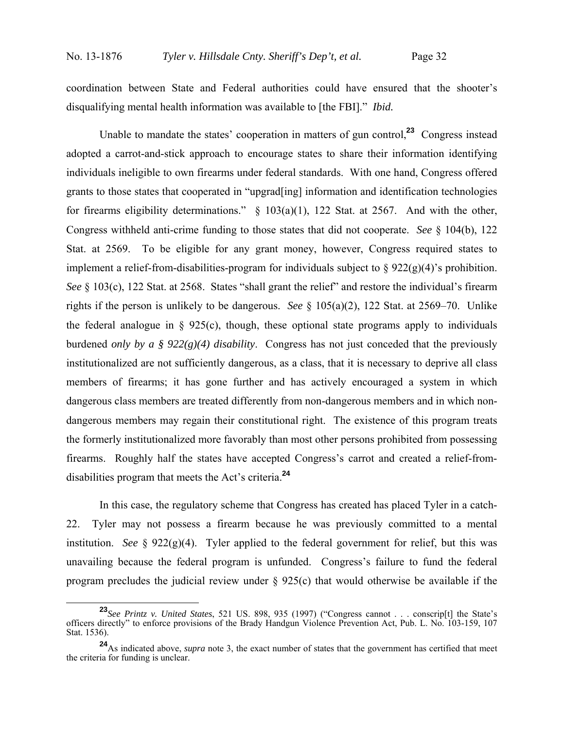coordination between State and Federal authorities could have ensured that the shooter's disqualifying mental health information was available to [the FBI]." *Ibid.*

Unable to mandate the states' cooperation in matters of gun control,**<sup>23</sup>** Congress instead adopted a carrot-and-stick approach to encourage states to share their information identifying individuals ineligible to own firearms under federal standards. With one hand, Congress offered grants to those states that cooperated in "upgrad[ing] information and identification technologies for firearms eligibility determinations."  $\S$  103(a)(1), 122 Stat. at 2567. And with the other, Congress withheld anti-crime funding to those states that did not cooperate. *See* § 104(b), 122 Stat. at 2569. To be eligible for any grant money, however, Congress required states to implement a relief-from-disabilities-program for individuals subject to  $\S 922(g)(4)$ 's prohibition. *See* § 103(c), 122 Stat. at 2568. States "shall grant the relief" and restore the individual's firearm rights if the person is unlikely to be dangerous. *See* § 105(a)(2), 122 Stat. at 2569–70. Unlike the federal analogue in  $\S$  925(c), though, these optional state programs apply to individuals burdened *only by a § 922(g)(4) disability*. Congress has not just conceded that the previously institutionalized are not sufficiently dangerous, as a class, that it is necessary to deprive all class members of firearms; it has gone further and has actively encouraged a system in which dangerous class members are treated differently from non-dangerous members and in which nondangerous members may regain their constitutional right. The existence of this program treats the formerly institutionalized more favorably than most other persons prohibited from possessing firearms. Roughly half the states have accepted Congress's carrot and created a relief-fromdisabilities program that meets the Act's criteria.**<sup>24</sup>**

In this case, the regulatory scheme that Congress has created has placed Tyler in a catch-22. Tyler may not possess a firearm because he was previously committed to a mental institution. *See*  $\S$  922(g)(4). Tyler applied to the federal government for relief, but this was unavailing because the federal program is unfunded. Congress's failure to fund the federal program precludes the judicial review under  $\S$  925(c) that would otherwise be available if the

**<sup>23</sup>***See Printz v. United States*, 521 US. 898, 935 (1997) ("Congress cannot . . . conscrip[t] the State's officers directly" to enforce provisions of the Brady Handgun Violence Prevention Act, Pub. L. No. 103-159, 107 Stat. 1536).

**<sup>24</sup>**As indicated above, *supra* note 3, the exact number of states that the government has certified that meet the criteria for funding is unclear.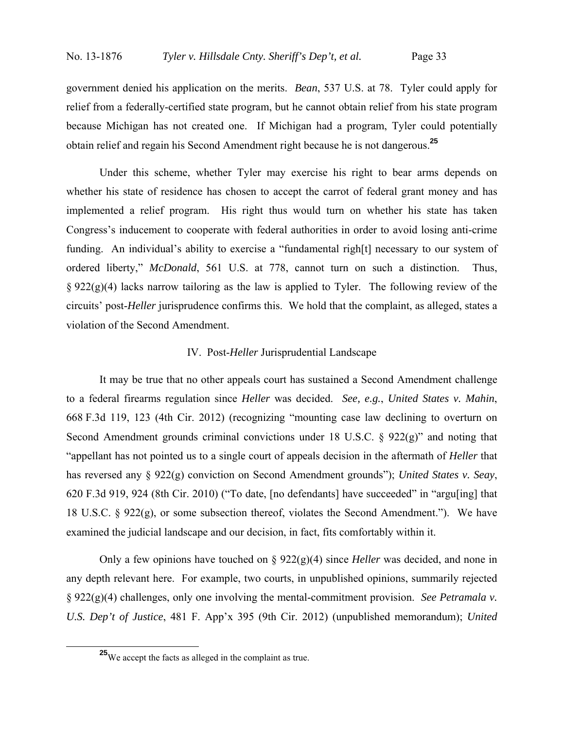government denied his application on the merits. *Bean*, 537 U.S. at 78. Tyler could apply for relief from a federally-certified state program, but he cannot obtain relief from his state program because Michigan has not created one. If Michigan had a program, Tyler could potentially obtain relief and regain his Second Amendment right because he is not dangerous.**<sup>25</sup>**

Under this scheme, whether Tyler may exercise his right to bear arms depends on whether his state of residence has chosen to accept the carrot of federal grant money and has implemented a relief program. His right thus would turn on whether his state has taken Congress's inducement to cooperate with federal authorities in order to avoid losing anti-crime funding. An individual's ability to exercise a "fundamental righ[t] necessary to our system of ordered liberty," *McDonald*, 561 U.S. at 778, cannot turn on such a distinction. Thus,  $\S 922(g)(4)$  lacks narrow tailoring as the law is applied to Tyler. The following review of the circuits' post-*Heller* jurisprudence confirms this. We hold that the complaint, as alleged, states a violation of the Second Amendment.

#### IV. Post-*Heller* Jurisprudential Landscape

It may be true that no other appeals court has sustained a Second Amendment challenge to a federal firearms regulation since *Heller* was decided. *See, e.g.*, *United States v. Mahin*, 668 F.3d 119, 123 (4th Cir. 2012) (recognizing "mounting case law declining to overturn on Second Amendment grounds criminal convictions under 18 U.S.C. § 922(g)" and noting that "appellant has not pointed us to a single court of appeals decision in the aftermath of *Heller* that has reversed any § 922(g) conviction on Second Amendment grounds"); *United States v. Seay*, 620 F.3d 919, 924 (8th Cir. 2010) ("To date, [no defendants] have succeeded" in "argu[ing] that 18 U.S.C. § 922(g), or some subsection thereof, violates the Second Amendment."). We have examined the judicial landscape and our decision, in fact, fits comfortably within it.

Only a few opinions have touched on § 922(g)(4) since *Heller* was decided, and none in any depth relevant here. For example, two courts, in unpublished opinions, summarily rejected § 922(g)(4) challenges, only one involving the mental-commitment provision. *See Petramala v. U.S. Dep't of Justice*, 481 F. App'x 395 (9th Cir. 2012) (unpublished memorandum); *United* 

**<sup>25</sup>**We accept the facts as alleged in the complaint as true.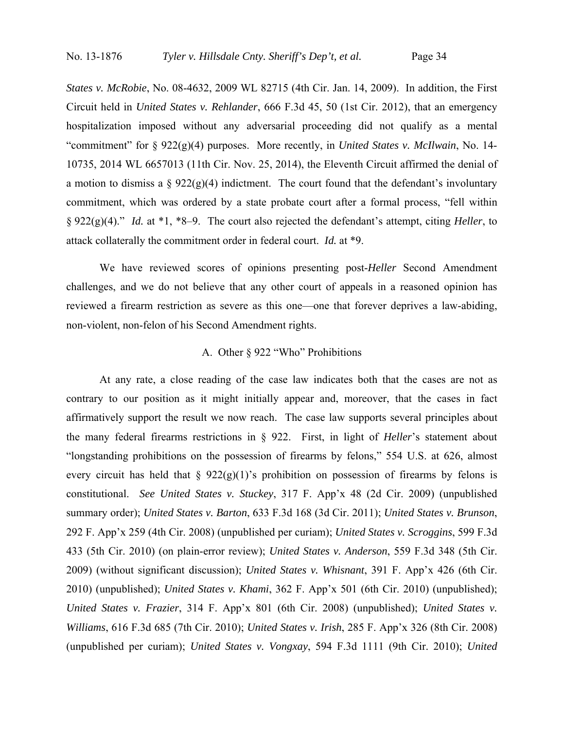*States v. McRobie*, No. 08-4632, 2009 WL 82715 (4th Cir. Jan. 14, 2009). In addition, the First Circuit held in *United States v. Rehlander*, 666 F.3d 45, 50 (1st Cir. 2012), that an emergency hospitalization imposed without any adversarial proceeding did not qualify as a mental "commitment" for § 922(g)(4) purposes. More recently, in *United States v. McIlwain*, No. 14- 10735, 2014 WL 6657013 (11th Cir. Nov. 25, 2014), the Eleventh Circuit affirmed the denial of a motion to dismiss a  $\S 922(g)(4)$  indictment. The court found that the defendant's involuntary commitment, which was ordered by a state probate court after a formal process, "fell within § 922(g)(4)." *Id.* at \*1, \*8–9. The court also rejected the defendant's attempt, citing *Heller*, to attack collaterally the commitment order in federal court. *Id.* at \*9.

We have reviewed scores of opinions presenting post-*Heller* Second Amendment challenges, and we do not believe that any other court of appeals in a reasoned opinion has reviewed a firearm restriction as severe as this one—one that forever deprives a law-abiding, non-violent, non-felon of his Second Amendment rights.

# A. Other § 922 "Who" Prohibitions

At any rate, a close reading of the case law indicates both that the cases are not as contrary to our position as it might initially appear and, moreover, that the cases in fact affirmatively support the result we now reach. The case law supports several principles about the many federal firearms restrictions in § 922. First, in light of *Heller*'s statement about "longstanding prohibitions on the possession of firearms by felons," 554 U.S. at 626, almost every circuit has held that  $\S 922(g)(1)$ 's prohibition on possession of firearms by felons is constitutional. *See United States v. Stuckey*, 317 F. App'x 48 (2d Cir. 2009) (unpublished summary order); *United States v. Barton*, 633 F.3d 168 (3d Cir. 2011); *United States v. Brunson*, 292 F. App'x 259 (4th Cir. 2008) (unpublished per curiam); *United States v. Scroggins*, 599 F.3d 433 (5th Cir. 2010) (on plain-error review); *United States v. Anderson*, 559 F.3d 348 (5th Cir. 2009) (without significant discussion); *United States v. Whisnant*, 391 F. App'x 426 (6th Cir. 2010) (unpublished); *United States v. Khami*, 362 F. App'x 501 (6th Cir. 2010) (unpublished); *United States v. Frazier*, 314 F. App'x 801 (6th Cir. 2008) (unpublished); *United States v. Williams*, 616 F.3d 685 (7th Cir. 2010); *United States v. Irish*, 285 F. App'x 326 (8th Cir. 2008) (unpublished per curiam); *United States v. Vongxay*, 594 F.3d 1111 (9th Cir. 2010); *United*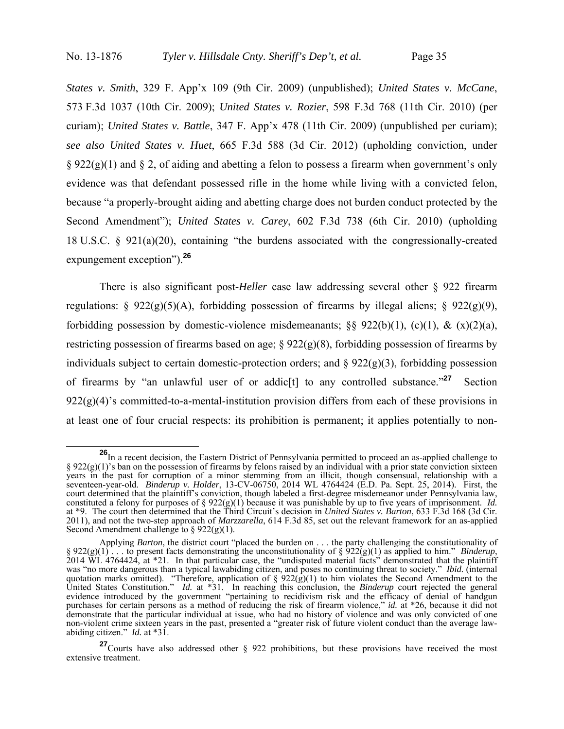*States v. Smith*, 329 F. App'x 109 (9th Cir. 2009) (unpublished); *United States v. McCane*, 573 F.3d 1037 (10th Cir. 2009); *United States v. Rozier*, 598 F.3d 768 (11th Cir. 2010) (per curiam); *United States v. Battle*, 347 F. App'x 478 (11th Cir. 2009) (unpublished per curiam); *see also United States v. Huet*, 665 F.3d 588 (3d Cir. 2012) (upholding conviction, under  $\S 922(g)(1)$  and  $\S 2$ , of aiding and abetting a felon to possess a firearm when government's only evidence was that defendant possessed rifle in the home while living with a convicted felon, because "a properly-brought aiding and abetting charge does not burden conduct protected by the Second Amendment"); *United States v. Carey*, 602 F.3d 738 (6th Cir. 2010) (upholding 18 U.S.C. § 921(a)(20), containing "the burdens associated with the congressionally-created expungement exception").**<sup>26</sup>**

There is also significant post-*Heller* case law addressing several other § 922 firearm regulations:  $\S 922(g)(5)(A)$ , forbidding possession of firearms by illegal aliens;  $\S 922(g)(9)$ , forbidding possession by domestic-violence misdemeanants;  $\&$  922(b)(1), (c)(1), & (x)(2)(a), restricting possession of firearms based on age; § 922(g)(8), forbidding possession of firearms by individuals subject to certain domestic-protection orders; and  $\S$  922(g)(3), forbidding possession of firearms by "an unlawful user of or addic[t] to any controlled substance."**<sup>27</sup>** Section  $922(g)(4)$ 's committed-to-a-mental-institution provision differs from each of these provisions in at least one of four crucial respects: its prohibition is permanent; it applies potentially to non-

**<sup>26</sup>**In a recent decision, the Eastern District of Pennsylvania permitted to proceed an as-applied challenge to  $§ 922(g)(1)$ 's ban on the possession of firearms by felons raised by an individual with a prior state conviction sixteen years in the past for corruption of a minor stemming from an illicit, though consensual, relationship with a seventeen-year-old. *Binderup v. Holder*, 13-CV-06750, 2014 WL 4764424 (E.D. Pa. Sept. 25, 2014). First, the court determined that the plaintiff's conviction, though labeled a first-degree misdemeanor under Pennsylvania law, constituted a felony for purposes of  $\S 922(g)(1)$  because it was punishable by up to five years of imprisonment. *Id.* at \*9. The court then determined that the Third Circuit's decision in *United States v. Barton*, 633 F.3d 168 (3d Cir. 2011), and not the two-step approach of *Marzzarella*, 614 F.3d 85, set out the relevant framework for an as-applied Second Amendment challenge to  $\S 922(g)(1)$ .

Applying *Barton*, the district court "placed the burden on . . . the party challenging the constitutionality of §  $922(g)(1)$ . . to present facts demonstrating the unconstitutionality of §  $922(g)(1)$  as applied to him." *Binderup*, 2014 WL 4764424, at \*21. In that particular case, the "undisputed material facts" demonstrated that the was "no more dangerous than a typical lawabiding citizen, and poses no continuing threat to society." *Ibid.* (internal quotation marks omitted). "Therefore, application of §  $922(g)(1)$  to him violates the Second Amendment to the United States Constitution." *Id.* at \*31. In reaching this conclusion, the *Binderup* court rejected the general evidence introduced by the government "pertaining to recidivism risk and the efficacy of denial of handgun purchases for certain persons as a method of reducing the risk of firearm violence," *id.* at \*26, because it did not demonstrate that the particular individual at issue, who had no history of violence and was only convicted of one non-violent crime sixteen years in the past, presented a "greater risk of future violent conduct than the average lawabiding citizen." *Id.* at \*31.

**<sup>27</sup>** Courts have also addressed other § 922 prohibitions, but these provisions have received the most extensive treatment.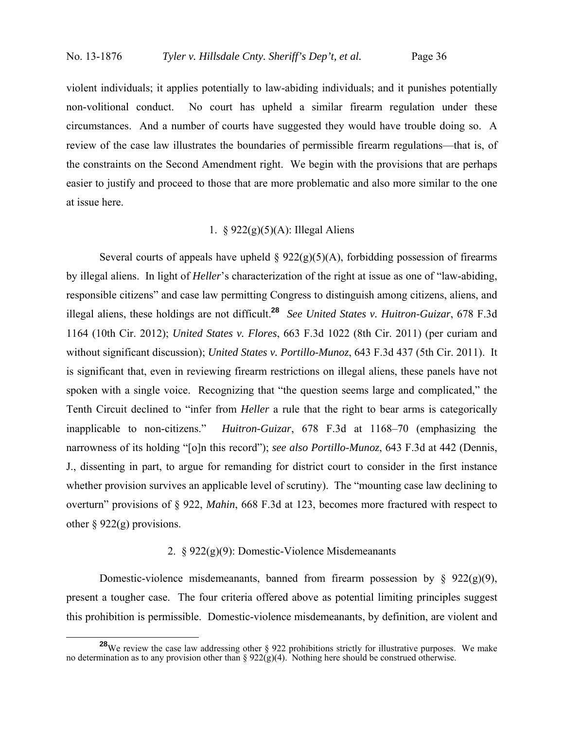violent individuals; it applies potentially to law-abiding individuals; and it punishes potentially non-volitional conduct. No court has upheld a similar firearm regulation under these circumstances. And a number of courts have suggested they would have trouble doing so. A review of the case law illustrates the boundaries of permissible firearm regulations—that is, of the constraints on the Second Amendment right. We begin with the provisions that are perhaps easier to justify and proceed to those that are more problematic and also more similar to the one at issue here.

# 1. § 922(g)(5)(A): Illegal Aliens

Several courts of appeals have upheld  $\S 922(g)(5)(A)$ , forbidding possession of firearms by illegal aliens. In light of *Heller*'s characterization of the right at issue as one of "law-abiding, responsible citizens" and case law permitting Congress to distinguish among citizens, aliens, and illegal aliens, these holdings are not difficult.**<sup>28</sup>** *See United States v. Huitron-Guizar*, 678 F.3d 1164 (10th Cir. 2012); *United States v. Flores*, 663 F.3d 1022 (8th Cir. 2011) (per curiam and without significant discussion); *United States v. Portillo-Munoz*, 643 F.3d 437 (5th Cir. 2011). It is significant that, even in reviewing firearm restrictions on illegal aliens, these panels have not spoken with a single voice. Recognizing that "the question seems large and complicated," the Tenth Circuit declined to "infer from *Heller* a rule that the right to bear arms is categorically inapplicable to non-citizens." *Huitron-Guizar*, 678 F.3d at 1168–70 (emphasizing the narrowness of its holding "[o]n this record"); *see also Portillo-Munoz*, 643 F.3d at 442 (Dennis, J., dissenting in part, to argue for remanding for district court to consider in the first instance whether provision survives an applicable level of scrutiny). The "mounting case law declining to overturn" provisions of § 922, *Mahin*, 668 F.3d at 123, becomes more fractured with respect to other  $\S 922(g)$  provisions.

#### 2. § 922(g)(9): Domestic-Violence Misdemeanants

Domestic-violence misdemeanants, banned from firearm possession by  $\S$  922(g)(9), present a tougher case. The four criteria offered above as potential limiting principles suggest this prohibition is permissible. Domestic-violence misdemeanants, by definition, are violent and

<sup>&</sup>lt;sup>28</sup>We review the case law addressing other § 922 prohibitions strictly for illustrative purposes. We make no determination as to any provision other than §  $922(g)(4)$ . Nothing here should be construed otherwise.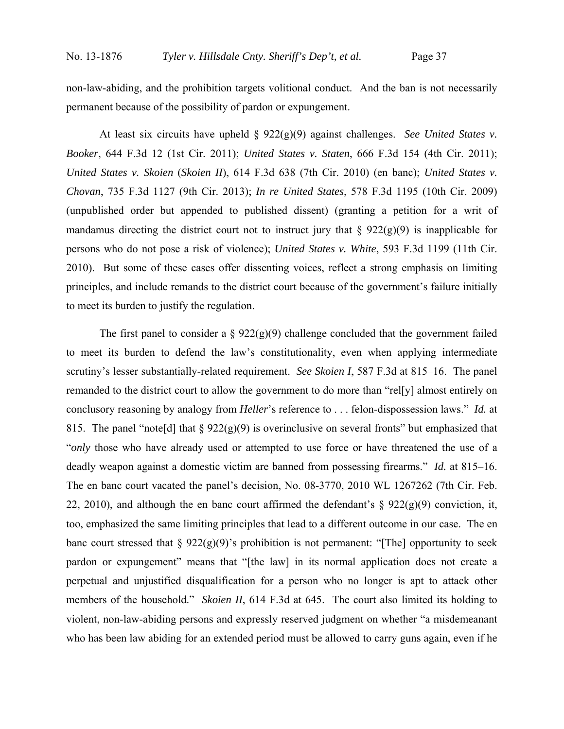non-law-abiding, and the prohibition targets volitional conduct. And the ban is not necessarily permanent because of the possibility of pardon or expungement.

At least six circuits have upheld § 922(g)(9) against challenges. *See United States v. Booker*, 644 F.3d 12 (1st Cir. 2011); *United States v. Staten*, 666 F.3d 154 (4th Cir. 2011); *United States v. Skoien* (*Skoien II*), 614 F.3d 638 (7th Cir. 2010) (en banc); *United States v. Chovan*, 735 F.3d 1127 (9th Cir. 2013); *In re United States*, 578 F.3d 1195 (10th Cir. 2009) (unpublished order but appended to published dissent) (granting a petition for a writ of mandamus directing the district court not to instruct jury that  $\S 922(g)(9)$  is inapplicable for persons who do not pose a risk of violence); *United States v. White*, 593 F.3d 1199 (11th Cir. 2010). But some of these cases offer dissenting voices, reflect a strong emphasis on limiting principles, and include remands to the district court because of the government's failure initially to meet its burden to justify the regulation.

The first panel to consider a  $\S 922(g)(9)$  challenge concluded that the government failed to meet its burden to defend the law's constitutionality, even when applying intermediate scrutiny's lesser substantially-related requirement. *See Skoien I*, 587 F.3d at 815–16. The panel remanded to the district court to allow the government to do more than "rel[y] almost entirely on conclusory reasoning by analogy from *Heller*'s reference to . . . felon-dispossession laws." *Id.* at 815. The panel "note [d] that  $\S 922(g)(9)$  is overinclusive on several fronts" but emphasized that "*only* those who have already used or attempted to use force or have threatened the use of a deadly weapon against a domestic victim are banned from possessing firearms." *Id.* at 815–16. The en banc court vacated the panel's decision, No. 08-3770, 2010 WL 1267262 (7th Cir. Feb. 22, 2010), and although the en banc court affirmed the defendant's  $\S$  922(g)(9) conviction, it, too, emphasized the same limiting principles that lead to a different outcome in our case. The en banc court stressed that  $\S 922(g)(9)$ 's prohibition is not permanent: "[The] opportunity to seek pardon or expungement" means that "[the law] in its normal application does not create a perpetual and unjustified disqualification for a person who no longer is apt to attack other members of the household." *Skoien II*, 614 F.3d at 645. The court also limited its holding to violent, non-law-abiding persons and expressly reserved judgment on whether "a misdemeanant who has been law abiding for an extended period must be allowed to carry guns again, even if he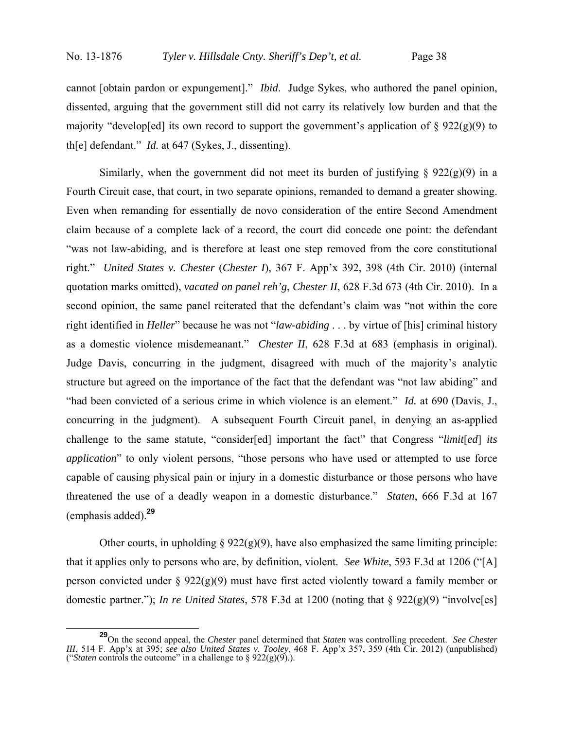cannot [obtain pardon or expungement]." *Ibid*. Judge Sykes, who authored the panel opinion, dissented, arguing that the government still did not carry its relatively low burden and that the majority "develop[ed] its own record to support the government's application of  $\S 922(g)(9)$  to th[e] defendant." *Id.* at 647 (Sykes, J., dissenting).

Similarly, when the government did not meet its burden of justifying  $\S$  922(g)(9) in a Fourth Circuit case, that court, in two separate opinions, remanded to demand a greater showing. Even when remanding for essentially de novo consideration of the entire Second Amendment claim because of a complete lack of a record, the court did concede one point: the defendant "was not law-abiding, and is therefore at least one step removed from the core constitutional right." *United States v. Chester* (*Chester I*), 367 F. App'x 392, 398 (4th Cir. 2010) (internal quotation marks omitted), *vacated on panel reh'g*, *Chester II*, 628 F.3d 673 (4th Cir. 2010). In a second opinion, the same panel reiterated that the defendant's claim was "not within the core right identified in *Heller*" because he was not "*law-abiding* . . . by virtue of [his] criminal history as a domestic violence misdemeanant." *Chester II*, 628 F.3d at 683 (emphasis in original). Judge Davis, concurring in the judgment, disagreed with much of the majority's analytic structure but agreed on the importance of the fact that the defendant was "not law abiding" and "had been convicted of a serious crime in which violence is an element." *Id.* at 690 (Davis, J., concurring in the judgment). A subsequent Fourth Circuit panel, in denying an as-applied challenge to the same statute, "consider[ed] important the fact" that Congress "*limit*[*ed*] *its application*" to only violent persons, "those persons who have used or attempted to use force capable of causing physical pain or injury in a domestic disturbance or those persons who have threatened the use of a deadly weapon in a domestic disturbance." *Staten*, 666 F.3d at 167 (emphasis added).**<sup>29</sup>**

Other courts, in upholding  $\S 922(g)(9)$ , have also emphasized the same limiting principle: that it applies only to persons who are, by definition, violent. *See White*, 593 F.3d at 1206 ("[A] person convicted under §  $922(g)(9)$  must have first acted violently toward a family member or domestic partner."); *In re United States*, 578 F.3d at 1200 (noting that § 922(g)(9) "involve[es]

**<sup>29</sup>**On the second appeal, the *Chester* panel determined that *Staten* was controlling precedent. *See Chester III*, 514 F. App'x at 395; *see also United States v. Tooley*, 468 F. App'x 357, 359 (4th Cir. 2012) (unpublished) ("*Staten* controls the outcome" in a challenge to  $\S 922(g)(9)$ .).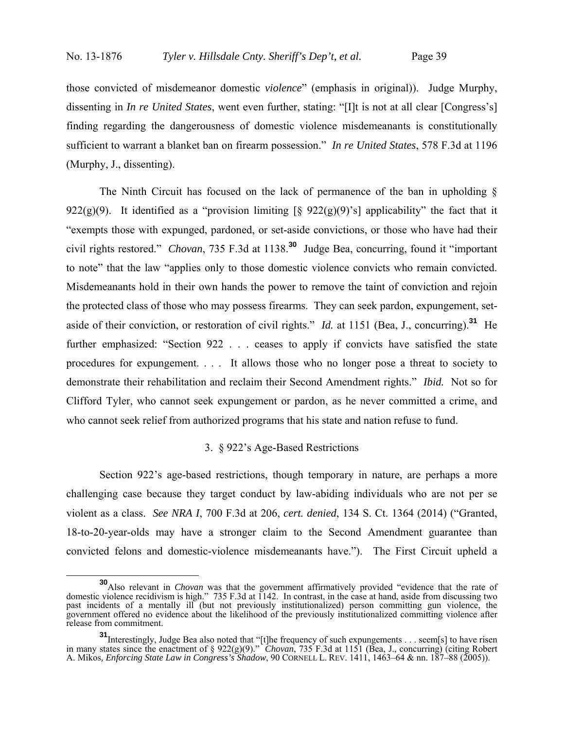those convicted of misdemeanor domestic *violence*" (emphasis in original)). Judge Murphy, dissenting in *In re United States*, went even further, stating: "[I]t is not at all clear [Congress's] finding regarding the dangerousness of domestic violence misdemeanants is constitutionally sufficient to warrant a blanket ban on firearm possession." *In re United States*, 578 F.3d at 1196 (Murphy, J., dissenting).

The Ninth Circuit has focused on the lack of permanence of the ban in upholding § 922(g)(9). It identified as a "provision limiting  $\lceil \frac{6}{5} \frac{922(g)(9)}{s} \rceil$  applicability" the fact that it "exempts those with expunged, pardoned, or set-aside convictions, or those who have had their civil rights restored." *Chovan*, 735 F.3d at 1138.**<sup>30</sup>** Judge Bea, concurring, found it "important to note" that the law "applies only to those domestic violence convicts who remain convicted. Misdemeanants hold in their own hands the power to remove the taint of conviction and rejoin the protected class of those who may possess firearms. They can seek pardon, expungement, setaside of their conviction, or restoration of civil rights." *Id.* at 1151 (Bea, J., concurring).**<sup>31</sup>** He further emphasized: "Section 922 . . . ceases to apply if convicts have satisfied the state procedures for expungement. . . . It allows those who no longer pose a threat to society to demonstrate their rehabilitation and reclaim their Second Amendment rights." *Ibid.* Not so for Clifford Tyler, who cannot seek expungement or pardon, as he never committed a crime, and who cannot seek relief from authorized programs that his state and nation refuse to fund.

### 3. § 922's Age-Based Restrictions

 Section 922's age-based restrictions, though temporary in nature, are perhaps a more challenging case because they target conduct by law-abiding individuals who are not per se violent as a class. *See NRA I*, 700 F.3d at 206, *cert. denied*, 134 S. Ct. 1364 (2014) ("Granted, 18-to-20-year-olds may have a stronger claim to the Second Amendment guarantee than convicted felons and domestic-violence misdemeanants have."). The First Circuit upheld a

**<sup>30</sup>**Also relevant in *Chovan* was that the government affirmatively provided "evidence that the rate of domestic violence recidivism is high." 735 F.3d at 1142. In contrast, in the case at hand, aside from discussing two past incidents of a mentally ill (but not previously institutionalized) person committing gun violence, the government offered no evidence about the likelihood of the previously institutionalized committing violence after release from commitment.

**<sup>31</sup>**Interestingly, Judge Bea also noted that "[t]he frequency of such expungements . . . seem[s] to have risen in many states since the enactment of § 922(g)(9)." *Chovan*, 735 F.3d at 1151 (Bea, J., concurring) (citing Robert A. Mikos*, Enforcing State Law in Congress's Shadow*, 90 CORNELL L. REV. 1411, 1463–64 & nn. 187–88 (2005)).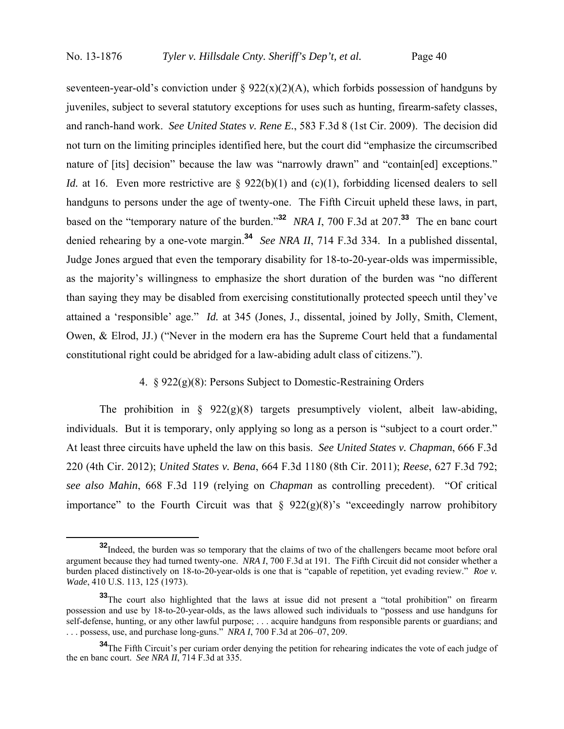seventeen-year-old's conviction under §  $922(x)(2)(A)$ , which forbids possession of handguns by juveniles, subject to several statutory exceptions for uses such as hunting, firearm-safety classes, and ranch-hand work. *See United States v. Rene E.*, 583 F.3d 8 (1st Cir. 2009). The decision did not turn on the limiting principles identified here, but the court did "emphasize the circumscribed nature of [its] decision" because the law was "narrowly drawn" and "contain[ed] exceptions." *Id.* at 16. Even more restrictive are § 922(b)(1) and (c)(1), forbidding licensed dealers to sell handguns to persons under the age of twenty-one. The Fifth Circuit upheld these laws, in part, based on the "temporary nature of the burden."**<sup>32</sup>** *NRA I*, 700 F.3d at 207.**<sup>33</sup>** The en banc court denied rehearing by a one-vote margin.**<sup>34</sup>** *See NRA II*, 714 F.3d 334. In a published dissental, Judge Jones argued that even the temporary disability for 18-to-20-year-olds was impermissible, as the majority's willingness to emphasize the short duration of the burden was "no different than saying they may be disabled from exercising constitutionally protected speech until they've attained a 'responsible' age." *Id.* at 345 (Jones, J., dissental, joined by Jolly, Smith, Clement, Owen, & Elrod, JJ.) ("Never in the modern era has the Supreme Court held that a fundamental constitutional right could be abridged for a law-abiding adult class of citizens.").

# 4. § 922(g)(8): Persons Subject to Domestic-Restraining Orders

The prohibition in  $\S$  922(g)(8) targets presumptively violent, albeit law-abiding, individuals. But it is temporary, only applying so long as a person is "subject to a court order." At least three circuits have upheld the law on this basis. *See United States v. Chapman*, 666 F.3d 220 (4th Cir. 2012); *United States v. Bena*, 664 F.3d 1180 (8th Cir. 2011); *Reese*, 627 F.3d 792; *see also Mahin*, 668 F.3d 119 (relying on *Chapman* as controlling precedent). "Of critical importance" to the Fourth Circuit was that  $\S$  922(g)(8)'s "exceedingly narrow prohibitory

<sup>&</sup>lt;sup>32</sup>Indeed, the burden was so temporary that the claims of two of the challengers became moot before oral argument because they had turned twenty-one. *NRA I*, 700 F.3d at 191. The Fifth Circuit did not consider whether a burden placed distinctively on 18-to-20-year-olds is one that is "capable of repetition, yet evading review." *Roe v. Wade*, 410 U.S. 113, 125 (1973).

**<sup>33</sup>**The court also highlighted that the laws at issue did not present a "total prohibition" on firearm possession and use by 18-to-20-year-olds, as the laws allowed such individuals to "possess and use handguns for self-defense, hunting, or any other lawful purpose; . . . acquire handguns from responsible parents or guardians; and . . . possess, use, and purchase long-guns." *NRA I*, 700 F.3d at 206–07, 209.

**<sup>34</sup>**The Fifth Circuit's per curiam order denying the petition for rehearing indicates the vote of each judge of the en banc court. *See NRA II*, 714 F.3d at 335.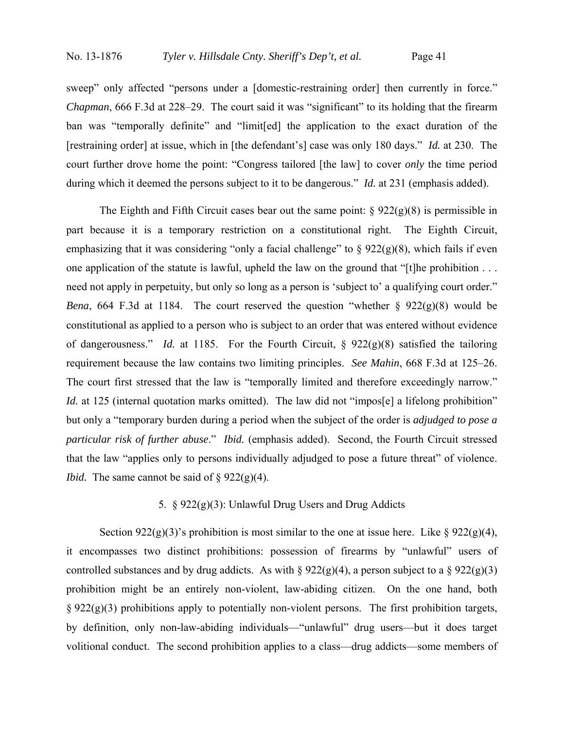sweep" only affected "persons under a [domestic-restraining order] then currently in force." *Chapman*, 666 F.3d at 228–29. The court said it was "significant" to its holding that the firearm ban was "temporally definite" and "limit[ed] the application to the exact duration of the [restraining order] at issue, which in [the defendant's] case was only 180 days." *Id.* at 230. The court further drove home the point: "Congress tailored [the law] to cover *only* the time period during which it deemed the persons subject to it to be dangerous." *Id.* at 231 (emphasis added).

The Eighth and Fifth Circuit cases bear out the same point:  $\S 922(g)(8)$  is permissible in part because it is a temporary restriction on a constitutional right. The Eighth Circuit, emphasizing that it was considering "only a facial challenge" to  $\S 922(g)(8)$ , which fails if even one application of the statute is lawful, upheld the law on the ground that "[t]he prohibition . . . need not apply in perpetuity, but only so long as a person is 'subject to' a qualifying court order." *Bena*, 664 F.3d at 1184. The court reserved the question "whether  $\S$  922(g)(8) would be constitutional as applied to a person who is subject to an order that was entered without evidence of dangerousness." *Id.* at 1185. For the Fourth Circuit, § 922(g)(8) satisfied the tailoring requirement because the law contains two limiting principles. *See Mahin*, 668 F.3d at 125–26. The court first stressed that the law is "temporally limited and therefore exceedingly narrow." *Id.* at 125 (internal quotation marks omitted). The law did not "impos[e] a lifelong prohibition" but only a "temporary burden during a period when the subject of the order is *adjudged to pose a particular risk of further abuse*." *Ibid.* (emphasis added). Second, the Fourth Circuit stressed that the law "applies only to persons individually adjudged to pose a future threat" of violence. *Ibid.* The same cannot be said of  $\S 922(g)(4)$ .

# 5. § 922(g)(3): Unlawful Drug Users and Drug Addicts

Section 922(g)(3)'s prohibition is most similar to the one at issue here. Like § 922(g)(4), it encompasses two distinct prohibitions: possession of firearms by "unlawful" users of controlled substances and by drug addicts. As with  $\S 922(g)(4)$ , a person subject to a  $\S 922(g)(3)$ prohibition might be an entirely non-violent, law-abiding citizen. On the one hand, both  $\S 922(g)(3)$  prohibitions apply to potentially non-violent persons. The first prohibition targets, by definition, only non-law-abiding individuals—"unlawful" drug users—but it does target volitional conduct. The second prohibition applies to a class—drug addicts—some members of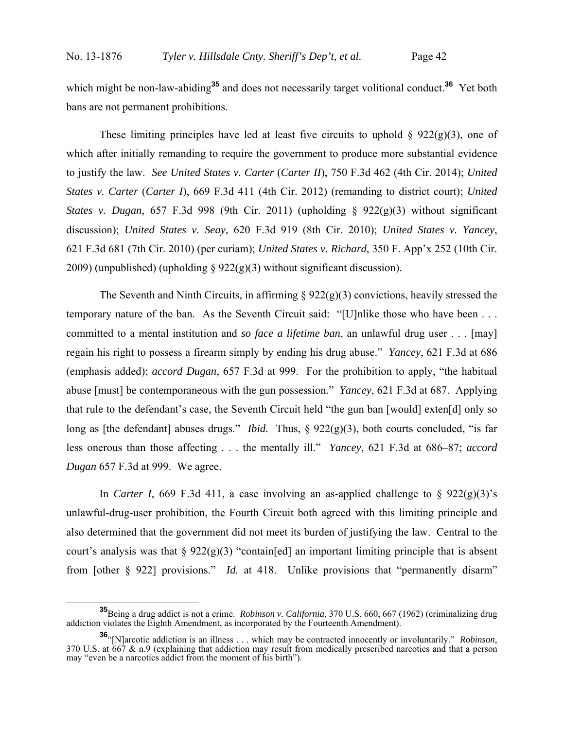which might be non-law-abiding<sup>35</sup> and does not necessarily target volitional conduct.<sup>36</sup> Yet both bans are not permanent prohibitions.

These limiting principles have led at least five circuits to uphold  $\S 922(g)(3)$ , one of which after initially remanding to require the government to produce more substantial evidence to justify the law. *See United States v. Carter* (*Carter II*), 750 F.3d 462 (4th Cir. 2014); *United States v. Carter* (*Carter I*), 669 F.3d 411 (4th Cir. 2012) (remanding to district court); *United States v. Dugan*, 657 F.3d 998 (9th Cir. 2011) (upholding § 922(g)(3) without significant discussion); *United States v. Seay*, 620 F.3d 919 (8th Cir. 2010); *United States v. Yancey*, 621 F.3d 681 (7th Cir. 2010) (per curiam); *United States v. Richard*, 350 F. App'x 252 (10th Cir. 2009) (unpublished) (upholding § 922(g)(3) without significant discussion).

The Seventh and Ninth Circuits, in affirming  $\S 922(g)(3)$  convictions, heavily stressed the temporary nature of the ban. As the Seventh Circuit said: "[U]nlike those who have been . . . committed to a mental institution and *so face a lifetime ban*, an unlawful drug user . . . [may] regain his right to possess a firearm simply by ending his drug abuse." *Yancey*, 621 F.3d at 686 (emphasis added); *accord Dugan*, 657 F.3d at 999. For the prohibition to apply, "the habitual abuse [must] be contemporaneous with the gun possession." *Yancey*, 621 F.3d at 687. Applying that rule to the defendant's case, the Seventh Circuit held "the gun ban [would] exten[d] only so long as [the defendant] abuses drugs." *Ibid.* Thus, § 922(g)(3), both courts concluded, "is far less onerous than those affecting . . . the mentally ill." *Yancey*, 621 F.3d at 686–87; *accord Dugan* 657 F.3d at 999. We agree.

In *Carter I*, 669 F.3d 411, a case involving an as-applied challenge to  $\S$  922(g)(3)'s unlawful-drug-user prohibition, the Fourth Circuit both agreed with this limiting principle and also determined that the government did not meet its burden of justifying the law. Central to the court's analysis was that  $\S 922(g)(3)$  "contain [ed] an important limiting principle that is absent from [other § 922] provisions." *Id.* at 418. Unlike provisions that "permanently disarm"

**<sup>35</sup>**Being a drug addict is not a crime. *Robinson v. California*, 370 U.S. 660, 667 (1962) (criminalizing drug addiction violates the Eighth Amendment, as incorporated by the Fourteenth Amendment).

**<sup>36.</sup>** (N]arcotic addiction is an illness ... which may be contracted innocently or involuntarily." *Robinson*, 370 U.S. at 667 & n.9 (explaining that addiction may result from medically prescribed narcotics and that a per may "even be a narcotics addict from the moment of his birth").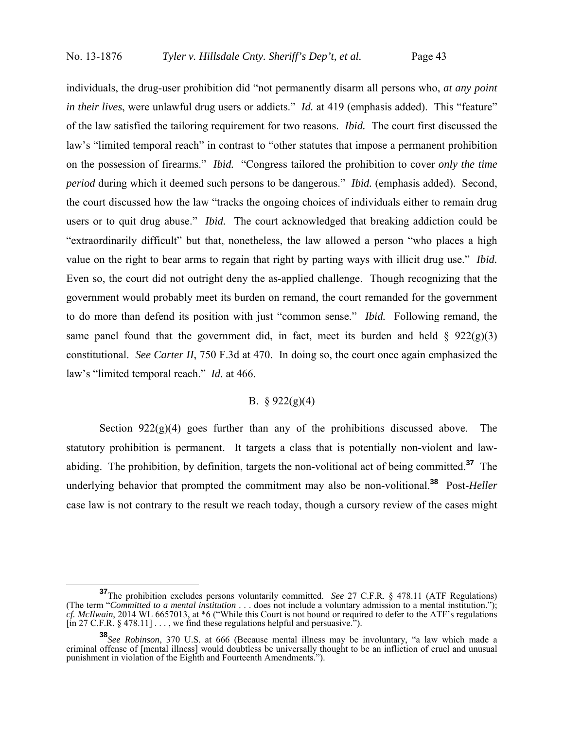individuals, the drug-user prohibition did "not permanently disarm all persons who, *at any point in their lives*, were unlawful drug users or addicts." *Id.* at 419 (emphasis added). This "feature" of the law satisfied the tailoring requirement for two reasons. *Ibid.* The court first discussed the law's "limited temporal reach" in contrast to "other statutes that impose a permanent prohibition on the possession of firearms." *Ibid.* "Congress tailored the prohibition to cover *only the time period* during which it deemed such persons to be dangerous." *Ibid.* (emphasis added). Second, the court discussed how the law "tracks the ongoing choices of individuals either to remain drug users or to quit drug abuse." *Ibid.* The court acknowledged that breaking addiction could be "extraordinarily difficult" but that, nonetheless, the law allowed a person "who places a high value on the right to bear arms to regain that right by parting ways with illicit drug use." *Ibid.* Even so, the court did not outright deny the as-applied challenge. Though recognizing that the government would probably meet its burden on remand, the court remanded for the government to do more than defend its position with just "common sense." *Ibid.* Following remand, the same panel found that the government did, in fact, meet its burden and held  $\S$  922(g)(3) constitutional. *See Carter II*, 750 F.3d at 470. In doing so, the court once again emphasized the law's "limited temporal reach." *Id.* at 466.

# B.  $§ 922(g)(4)$

Section  $922(g)(4)$  goes further than any of the prohibitions discussed above. The statutory prohibition is permanent. It targets a class that is potentially non-violent and lawabiding. The prohibition, by definition, targets the non-volitional act of being committed.**<sup>37</sup>** The underlying behavior that prompted the commitment may also be non-volitional.**<sup>38</sup>** Post-*Heller* case law is not contrary to the result we reach today, though a cursory review of the cases might

**<sup>37</sup>**The prohibition excludes persons voluntarily committed. *See* 27 C.F.R. § 478.11 (ATF Regulations) (The term "*Committed to a mental institution* . . . does not include a voluntary admission to a mental institution."); *cf. McIlwain*, 2014 WL 6657013, at \*6 ("While this Court is not bound or required to defer to the ATF's regulations  $\left[ \text{in } 27 \text{ C.F.R. } \frac{8}{9} \right. 478.11 \left] \ldots \right]$ , we find these regulations helpful and persuasive.<sup>37</sup>).

**<sup>38</sup>***See Robinson*, 370 U.S. at 666 (Because mental illness may be involuntary, "a law which made a criminal offense of [mental illness] would doubtless be universally thought to be an infliction of cruel and unusual punishment in violation of the Eighth and Fourteenth Amendments.").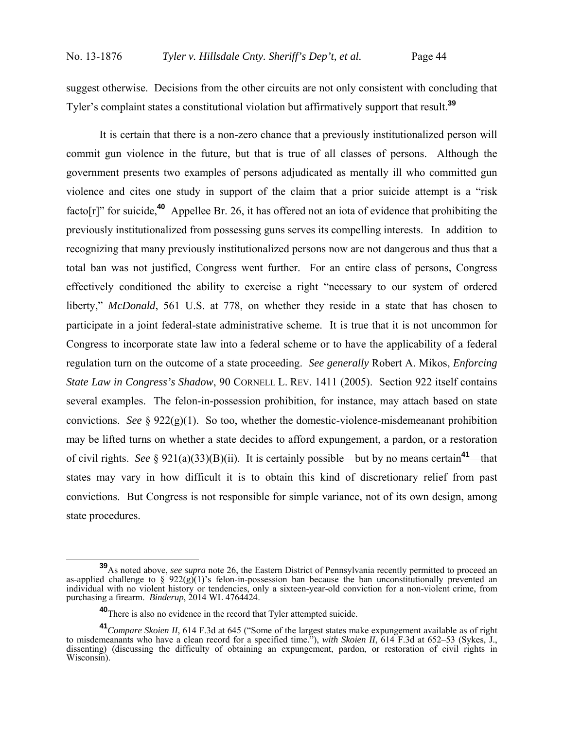suggest otherwise. Decisions from the other circuits are not only consistent with concluding that Tyler's complaint states a constitutional violation but affirmatively support that result.**<sup>39</sup>**

It is certain that there is a non-zero chance that a previously institutionalized person will commit gun violence in the future, but that is true of all classes of persons. Although the government presents two examples of persons adjudicated as mentally ill who committed gun violence and cites one study in support of the claim that a prior suicide attempt is a "risk facto[r]" for suicide,**<sup>40</sup>** Appellee Br. 26, it has offered not an iota of evidence that prohibiting the previously institutionalized from possessing guns serves its compelling interests. In addition to recognizing that many previously institutionalized persons now are not dangerous and thus that a total ban was not justified, Congress went further. For an entire class of persons, Congress effectively conditioned the ability to exercise a right "necessary to our system of ordered liberty," *McDonald*, 561 U.S. at 778, on whether they reside in a state that has chosen to participate in a joint federal-state administrative scheme. It is true that it is not uncommon for Congress to incorporate state law into a federal scheme or to have the applicability of a federal regulation turn on the outcome of a state proceeding. *See generally* Robert A. Mikos, *Enforcing State Law in Congress's Shadow*, 90 CORNELL L. REV. 1411 (2005). Section 922 itself contains several examples. The felon-in-possession prohibition, for instance, may attach based on state convictions. *See* § 922(g)(1). So too, whether the domestic-violence-misdemeanant prohibition may be lifted turns on whether a state decides to afford expungement, a pardon, or a restoration of civil rights. *See* § 921(a)(33)(B)(ii). It is certainly possible—but by no means certain**<sup>41</sup>**—that states may vary in how difficult it is to obtain this kind of discretionary relief from past convictions. But Congress is not responsible for simple variance, not of its own design, among state procedures.

**<sup>39</sup>**As noted above, *see supra* note 26, the Eastern District of Pennsylvania recently permitted to proceed an as-applied challenge to  $\frac{2}{9}$  922(g)(1)'s felon-in-possession ban because the ban unconstitutionally prevented an individual with no violent history or tendencies, only a sixteen-year-old conviction for a non-violent crime, from purchasing a firearm. *Binderup*, 2014 WL 4764424.

**<sup>40</sup>**There is also no evidence in the record that Tyler attempted suicide.

**<sup>41</sup>***Compare Skoien II*, 614 F.3d at 645 ("Some of the largest states make expungement available as of right to misdemeanants who have a clean record for a specified time."), *with Skoien II*, 614 F.3d at 652–53 (Sykes, J., dissenting) (discussing the difficulty of obtaining an expungement, pardon, or restoration of civil rights in Wisconsin).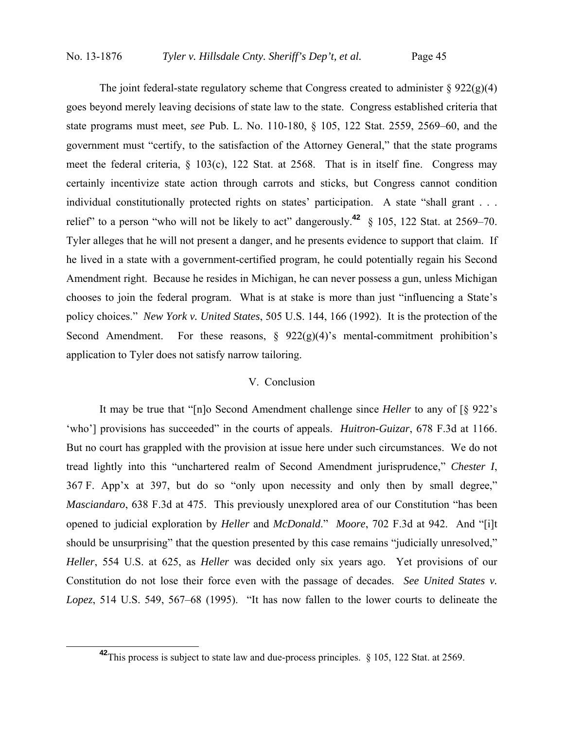The joint federal-state regulatory scheme that Congress created to administer  $\S 922(g)(4)$ goes beyond merely leaving decisions of state law to the state. Congress established criteria that state programs must meet, *see* Pub. L. No. 110-180, § 105, 122 Stat. 2559, 2569–60, and the government must "certify, to the satisfaction of the Attorney General," that the state programs meet the federal criteria, § 103(c), 122 Stat. at 2568. That is in itself fine. Congress may certainly incentivize state action through carrots and sticks, but Congress cannot condition individual constitutionally protected rights on states' participation. A state "shall grant . . . relief" to a person "who will not be likely to act" dangerously.**<sup>42</sup>** § 105, 122 Stat. at 2569–70. Tyler alleges that he will not present a danger, and he presents evidence to support that claim. If he lived in a state with a government-certified program, he could potentially regain his Second Amendment right. Because he resides in Michigan, he can never possess a gun, unless Michigan chooses to join the federal program. What is at stake is more than just "influencing a State's policy choices." *New York v. United States*, 505 U.S. 144, 166 (1992). It is the protection of the Second Amendment. For these reasons,  $\S 922(g)(4)$ 's mental-commitment prohibition's application to Tyler does not satisfy narrow tailoring.

#### V. Conclusion

It may be true that "[n]o Second Amendment challenge since *Heller* to any of [§ 922's 'who'] provisions has succeeded" in the courts of appeals. *Huitron-Guizar*, 678 F.3d at 1166. But no court has grappled with the provision at issue here under such circumstances. We do not tread lightly into this "unchartered realm of Second Amendment jurisprudence," *Chester I*, 367 F. App'x at 397, but do so "only upon necessity and only then by small degree," *Masciandaro*, 638 F.3d at 475. This previously unexplored area of our Constitution "has been opened to judicial exploration by *Heller* and *McDonald*." *Moore*, 702 F.3d at 942. And "[i]t should be unsurprising" that the question presented by this case remains "judicially unresolved," *Heller*, 554 U.S. at 625, as *Heller* was decided only six years ago. Yet provisions of our Constitution do not lose their force even with the passage of decades. *See United States v. Lopez*, 514 U.S. 549, 567–68 (1995). "It has now fallen to the lower courts to delineate the

**<sup>42</sup>**This process is subject to state law and due-process principles. § 105, 122 Stat. at 2569.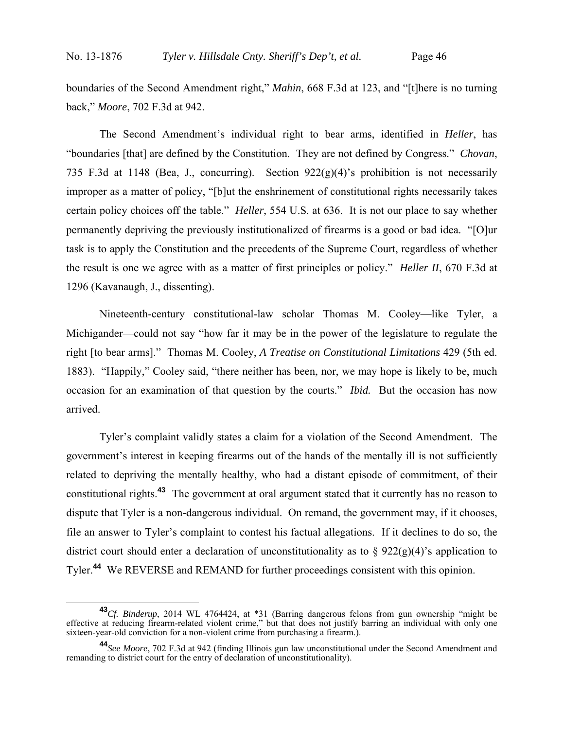boundaries of the Second Amendment right," *Mahin*, 668 F.3d at 123, and "[t]here is no turning back," *Moore*, 702 F.3d at 942.

The Second Amendment's individual right to bear arms, identified in *Heller*, has "boundaries [that] are defined by the Constitution. They are not defined by Congress." *Chovan*, 735 F.3d at 1148 (Bea, J., concurring). Section 922(g)(4)'s prohibition is not necessarily improper as a matter of policy, "[b]ut the enshrinement of constitutional rights necessarily takes certain policy choices off the table." *Heller*, 554 U.S. at 636. It is not our place to say whether permanently depriving the previously institutionalized of firearms is a good or bad idea. "[O]ur task is to apply the Constitution and the precedents of the Supreme Court, regardless of whether the result is one we agree with as a matter of first principles or policy." *Heller II*, 670 F.3d at 1296 (Kavanaugh, J., dissenting).

Nineteenth-century constitutional-law scholar Thomas M. Cooley—like Tyler, a Michigander—could not say "how far it may be in the power of the legislature to regulate the right [to bear arms]." Thomas M. Cooley, *A Treatise on Constitutional Limitations* 429 (5th ed. 1883). "Happily," Cooley said, "there neither has been, nor, we may hope is likely to be, much occasion for an examination of that question by the courts." *Ibid.* But the occasion has now arrived.

Tyler's complaint validly states a claim for a violation of the Second Amendment. The government's interest in keeping firearms out of the hands of the mentally ill is not sufficiently related to depriving the mentally healthy, who had a distant episode of commitment, of their constitutional rights.**<sup>43</sup>** The government at oral argument stated that it currently has no reason to dispute that Tyler is a non-dangerous individual. On remand, the government may, if it chooses, file an answer to Tyler's complaint to contest his factual allegations. If it declines to do so, the district court should enter a declaration of unconstitutionality as to  $\S 922(g)(4)$ 's application to Tyler.**<sup>44</sup>** We REVERSE and REMAND for further proceedings consistent with this opinion.

**<sup>43</sup>***Cf. Binderup*, 2014 WL 4764424, at \*31 (Barring dangerous felons from gun ownership "might be effective at reducing firearm-related violent crime," but that does not justify barring an individual with only one sixteen-year-old conviction for a non-violent crime from purchasing a firearm.).

**<sup>44</sup>***See Moore*, 702 F.3d at 942 (finding Illinois gun law unconstitutional under the Second Amendment and remanding to district court for the entry of declaration of unconstitutionality).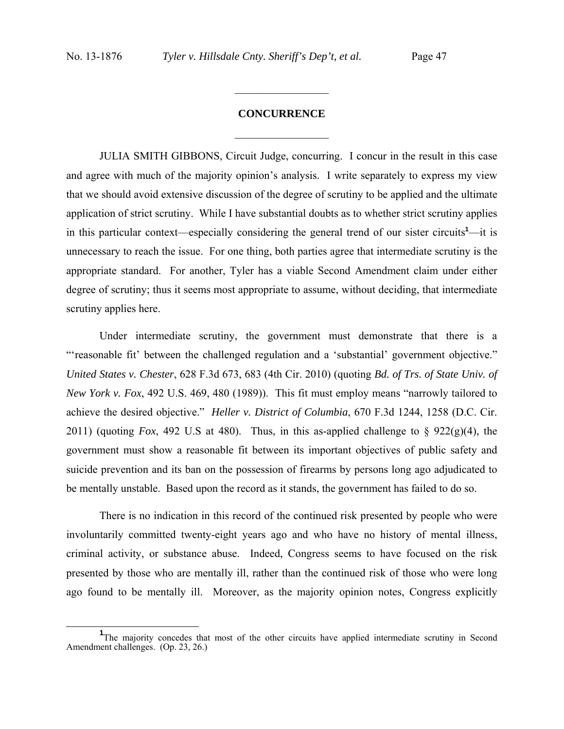# **CONCURRENCE**  $\frac{1}{2}$

 $\frac{1}{2}$ 

JULIA SMITH GIBBONS, Circuit Judge, concurring. I concur in the result in this case and agree with much of the majority opinion's analysis. I write separately to express my view that we should avoid extensive discussion of the degree of scrutiny to be applied and the ultimate application of strict scrutiny. While I have substantial doubts as to whether strict scrutiny applies in this particular context—especially considering the general trend of our sister circuits**<sup>1</sup>** —it is unnecessary to reach the issue. For one thing, both parties agree that intermediate scrutiny is the appropriate standard. For another, Tyler has a viable Second Amendment claim under either degree of scrutiny; thus it seems most appropriate to assume, without deciding, that intermediate scrutiny applies here.

Under intermediate scrutiny, the government must demonstrate that there is a "'reasonable fit' between the challenged regulation and a 'substantial' government objective." *United States v. Chester*, 628 F.3d 673, 683 (4th Cir. 2010) (quoting *Bd. of Trs. of State Univ. of New York v. Fox*, 492 U.S. 469, 480 (1989)). This fit must employ means "narrowly tailored to achieve the desired objective." *Heller v. District of Columbia*, 670 F.3d 1244, 1258 (D.C. Cir. 2011) (quoting *Fox*, 492 U.S at 480). Thus, in this as-applied challenge to § 922(g)(4), the government must show a reasonable fit between its important objectives of public safety and suicide prevention and its ban on the possession of firearms by persons long ago adjudicated to be mentally unstable. Based upon the record as it stands, the government has failed to do so.

There is no indication in this record of the continued risk presented by people who were involuntarily committed twenty-eight years ago and who have no history of mental illness, criminal activity, or substance abuse. Indeed, Congress seems to have focused on the risk presented by those who are mentally ill, rather than the continued risk of those who were long ago found to be mentally ill. Moreover, as the majority opinion notes, Congress explicitly

<sup>&</sup>lt;sup>1</sup>The majority concedes that most of the other circuits have applied intermediate scrutiny in Second Amendment challenges. (Op. 23, 26.)